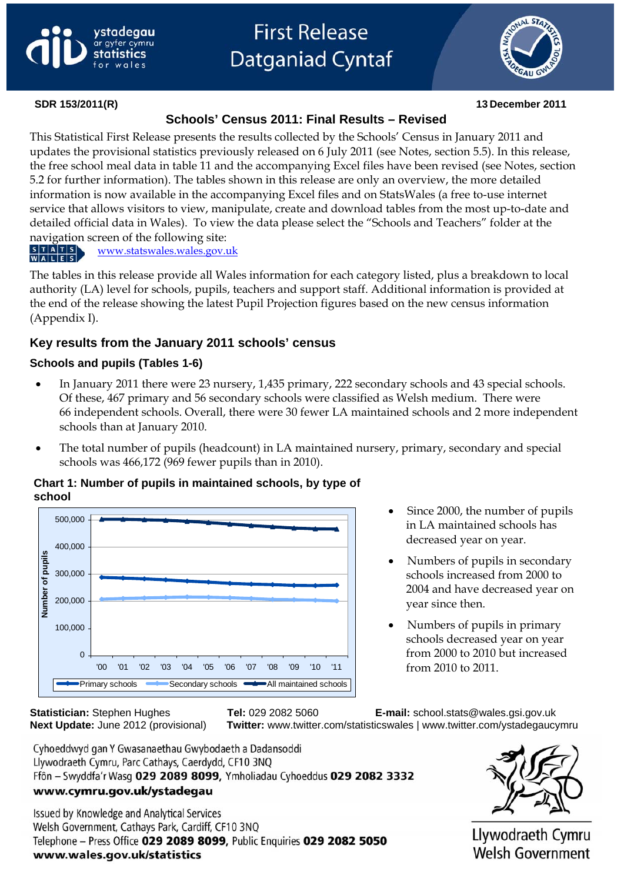# vstadegau ar gyfer cymru



#### **SDR 153/2011(R) 13 December 2011**

# **Schools' Census 2011: Final Results – Revised**

This Statistical First Release presents the results collected by the Schools' Census in January 2011 and updates the provisional statistics previously released on 6 July 2011 (see Notes, section 5.5). In this release, the free school meal data in table 11 and the accompanying Excel files have been revised (see Notes, section 5.2 for further information). The tables shown in this release are only an overview, the more detailed information is now available in the accompanying Excel files and on StatsWales (a free to-use internet service that allows visitors to view, manipulate, create and download tables from the most up-to-date and detailed official data in Wales). To view the data please select the "Schools and Teachers" folder at the navigation screen of the following site:<br> **STATS**<br>
<u>WWW.statswales.wales.gov.u</u>



[www.statswales.wales.gov.uk](http://www.statswales.wales.gov.uk/)

The tables in this release provide all Wales information for each category listed, plus a breakdown to local authority (LA) level for schools, pupils, teachers and support staff. Additional information is provided at the end of the release showing the latest Pupil Projection figures based on the new census information (Appendix I).

# **Key results from the January 2011 schools' census**

# **Schools and pupils (Tables 1-6)**

- In January 2011 there were 23 nursery, 1,435 primary, 222 secondary schools and 43 special schools. Of these, 467 primary and 56 secondary schools were classified as Welsh medium. There were 66 independent schools. Overall, there were 30 fewer LA maintained schools and 2 more independent schools than at January 2010.
- The total number of pupils (headcount) in LA maintained nursery, primary, secondary and special schools was 466,172 (969 fewer pupils than in 2010).

#### **Chart 1: Number of pupils in maintained schools, by type of school**



- Since 2000, the number of pupils in LA maintained schools has decreased year on year.
- Numbers of pupils in secondary schools increased from 2000 to 2004 and have decreased year on year since then.
- Numbers of pupils in primary schools decreased year on year from 2000 to 2010 but increased from 2010 to 2011.

 **Statistician:** Stephen Hughes **Tel:** 029 2082 5060 **E-mail:** school.stats@wales.gsi.gov.uk  **Next Update:** June 2012 (provisional) **Twitter:** www.twitter.com/statisticswales | www.twitter.com/ystadegaucymru

Cyhoeddwyd gan Y Gwasanaethau Gwybodaeth a Dadansoddi Llywodraeth Cymru, Parc Cathays, Caerdydd, CF10 3NQ Ffôn - Swyddfa'r Wasg 029 2089 8099, Ymholiadau Cyhoeddus 029 2082 3332 www.cymru.gov.uk/ystadegau

Issued by Knowledge and Analytical Services Welsh Government, Cathays Park, Cardiff, CF10 3NQ Telephone - Press Office 029 2089 8099, Public Enquiries 029 2082 5050 www.wales.gov.uk/statistics



Llywodraeth Cymru **Welsh Government**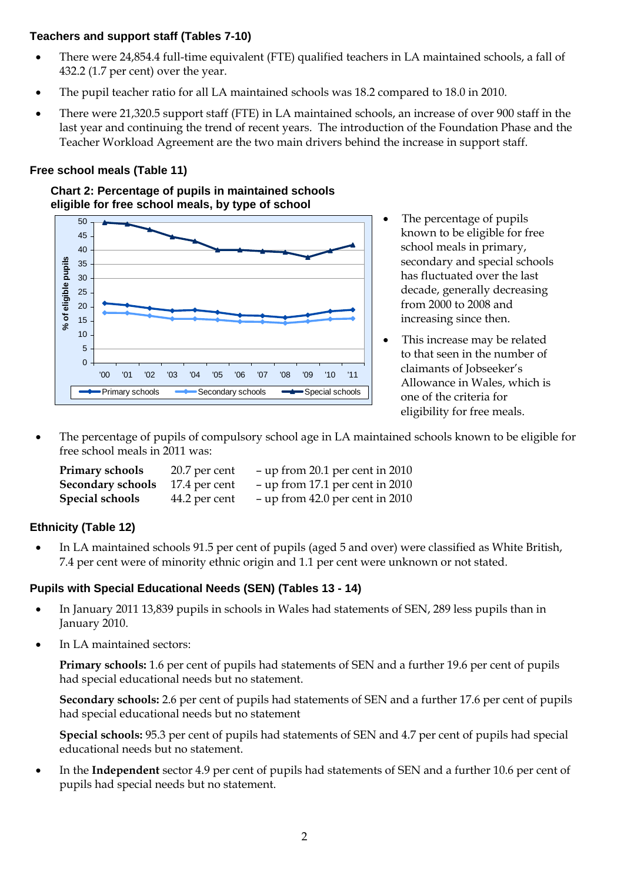# **Teachers and support staff (Tables 7-10)**

- There were 24,854.4 full-time equivalent (FTE) qualified teachers in LA maintained schools, a fall of 432.2 (1.7 per cent) over the year.
- The pupil teacher ratio for all LA maintained schools was 18.2 compared to 18.0 in 2010.
- There were 21,320.5 support staff (FTE) in LA maintained schools, an increase of over 900 staff in the last year and continuing the trend of recent years. The introduction of the Foundation Phase and the Teacher Workload Agreement are the two main drivers behind the increase in support staff.

# **Free school meals (Table 11)**

**Chart 2: Percentage of pupils in maintained schools eligible for free school meals, by type of school** 



- The percentage of pupils known to be eligible for free school meals in primary, secondary and special schools has fluctuated over the last decade, generally decreasing from 2000 to 2008 and increasing since then.
- This increase may be related to that seen in the number of claimants of Jobseeker's Allowance in Wales, which is one of the criteria for eligibility for free meals.
- The percentage of pupils of compulsory school age in LA maintained schools known to be eligible for free school meals in 2011 was:

| <b>Primary schools</b>   | 20.7 per cent | $-$ up from 20.1 per cent in 2010 |
|--------------------------|---------------|-----------------------------------|
| <b>Secondary schools</b> | 17.4 per cent | $-$ up from 17.1 per cent in 2010 |
| Special schools          | 44.2 per cent | $-$ up from 42.0 per cent in 2010 |

# **Ethnicity (Table 12)**

• In LA maintained schools 91.5 per cent of pupils (aged 5 and over) were classified as White British, 7.4 per cent were of minority ethnic origin and 1.1 per cent were unknown or not stated.

# **Pupils with Special Educational Needs (SEN) (Tables 13 - 14)**

- In January 2011 13,839 pupils in schools in Wales had statements of SEN, 289 less pupils than in January 2010.
- In LA maintained sectors:

**Primary schools:** 1.6 per cent of pupils had statements of SEN and a further 19.6 per cent of pupils had special educational needs but no statement.

**Secondary schools:** 2.6 per cent of pupils had statements of SEN and a further 17.6 per cent of pupils had special educational needs but no statement

**Special schools:** 95.3 per cent of pupils had statements of SEN and 4.7 per cent of pupils had special educational needs but no statement.

• In the **Independent** sector 4.9 per cent of pupils had statements of SEN and a further 10.6 per cent of pupils had special needs but no statement.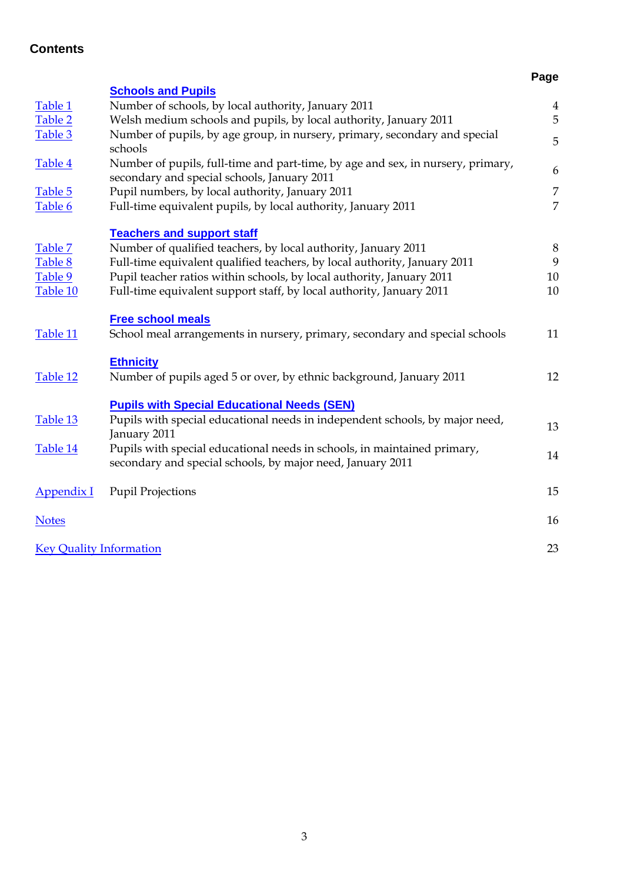# **Contents**

| ٠<br>×<br>۰,<br>×<br>۰. |
|-------------------------|
|-------------------------|

|                                | <b>Schools and Pupils</b>                                                                                                      |                |
|--------------------------------|--------------------------------------------------------------------------------------------------------------------------------|----------------|
| Table 1                        | Number of schools, by local authority, January 2011                                                                            | $\overline{4}$ |
| Table 2                        | Welsh medium schools and pupils, by local authority, January 2011                                                              | 5              |
| Table 3                        | Number of pupils, by age group, in nursery, primary, secondary and special<br>schools                                          | 5              |
| Table 4                        | Number of pupils, full-time and part-time, by age and sex, in nursery, primary,<br>secondary and special schools, January 2011 | 6              |
| Table 5                        | Pupil numbers, by local authority, January 2011                                                                                | $\overline{7}$ |
| Table 6                        | Full-time equivalent pupils, by local authority, January 2011                                                                  | $\overline{7}$ |
|                                | <b>Teachers and support staff</b>                                                                                              |                |
| Table 7                        | Number of qualified teachers, by local authority, January 2011                                                                 | $\,8\,$        |
| Table 8                        | Full-time equivalent qualified teachers, by local authority, January 2011                                                      | 9              |
| Table 9                        | Pupil teacher ratios within schools, by local authority, January 2011                                                          | 10             |
| Table 10                       | Full-time equivalent support staff, by local authority, January 2011                                                           | 10             |
| Table 11                       | <b>Free school meals</b><br>School meal arrangements in nursery, primary, secondary and special schools                        | 11             |
|                                |                                                                                                                                |                |
|                                | <b>Ethnicity</b>                                                                                                               |                |
| Table 12                       | Number of pupils aged 5 or over, by ethnic background, January 2011                                                            | 12             |
|                                | <b>Pupils with Special Educational Needs (SEN)</b>                                                                             |                |
| Table 13                       | Pupils with special educational needs in independent schools, by major need,<br>January 2011                                   | 13             |
| Table 14                       | Pupils with special educational needs in schools, in maintained primary,                                                       | 14             |
|                                | secondary and special schools, by major need, January 2011                                                                     |                |
| <b>Appendix I</b>              | <b>Pupil Projections</b>                                                                                                       | 15             |
| <b>Notes</b>                   |                                                                                                                                | 16             |
| <b>Key Quality Information</b> |                                                                                                                                | 23             |
|                                |                                                                                                                                |                |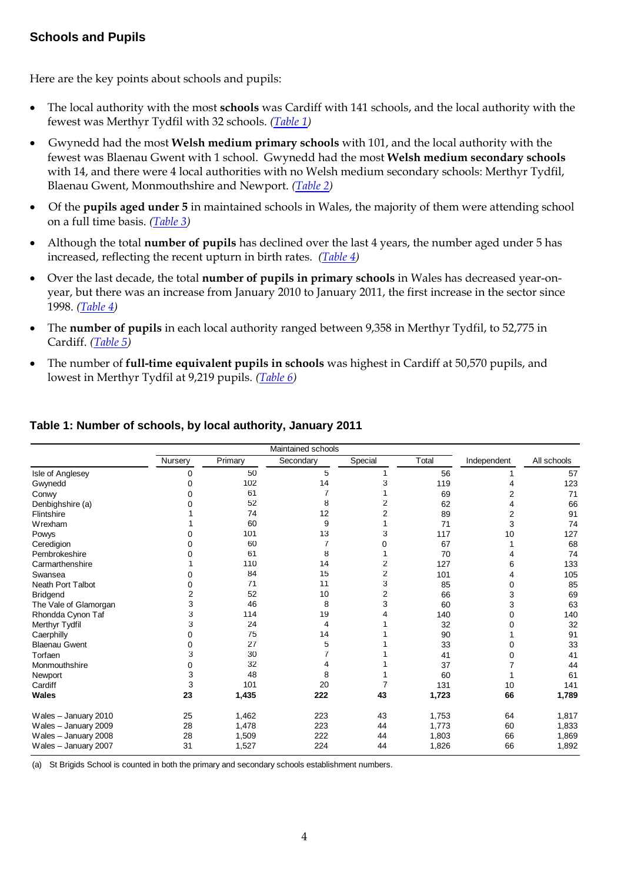### <span id="page-3-0"></span>**Schools and Pupils**

Here are the key points about schools and pupils:

- The local authority with the most **schools** was Cardiff with 141 schools, and the local authority with the fewest was Merthyr Tydfil with 32 schools. *[\(Table 1\)](#page-3-0)*
- Gwynedd had the most **Welsh medium primary schools** with 101, and the local authority with the fewest was Blaenau Gwent with 1 school. Gwynedd had the most **Welsh medium secondary schools** with 14, and there were 4 local authorities with no Welsh medium secondary schools: Merthyr Tydfil, Blaenau Gwent, Monmouthshire and Newport. *[\(Table 2](#page-4-0))*
- Of the **pupils aged under 5** in maintained schools in Wales, the majority of them were attending school on a full time basis. *[\(Table 3](#page-4-0))*
- Although the total **number of pupils** has declined over the last 4 years, the number aged under 5 has increased, reflecting the recent upturn in birth rates. *[\(Table 4\)](#page-5-0)*
- Over the last decade, the total **number of pupils in primary schools** in Wales has decreased year-onyear, but there was an increase from January 2010 to January 2011, the first increase in the sector since 1998. *[\(Table 4\)](#page-5-0)*
- The **number of pupils** in each local authority ranged between 9,358 in Merthyr Tydfil, to 52,775 in Cardiff. *[\(Table 5\)](#page-6-0)*
- The number of **full-time equivalent pupils in schools** was highest in Cardiff at 50,570 pupils, and lowest in Merthyr Tydfil at 9,219 pupils. *[\(Table 6\)](#page-6-0)*

|                          | Nursery  | Primary | Secondary      | Special | Total | Independent | All schools |
|--------------------------|----------|---------|----------------|---------|-------|-------------|-------------|
| Isle of Anglesey         | $\Omega$ | 50      | 5              |         | 56    |             | 57          |
| Gwynedd                  | ი        | 102     | 14             | 3       | 119   | 4           | 123         |
| Conwy                    |          | 61      | $\overline{7}$ |         | 69    | 2           | 71          |
| Denbighshire (a)         | ი        | 52      | 8              | 2       | 62    | 4           | 66          |
| Flintshire               |          | 74      | 12             | 2       | 89    | 2           | 91          |
| Wrexham                  |          | 60      | 9              |         | 71    | 3           | 74          |
| Powys                    |          | 101     | 13             | 3       | 117   | 10          | 127         |
| Ceredigion               |          | 60      | 7              | 0       | 67    |             | 68          |
| Pembrokeshire            |          | 61      | 8              |         | 70    | 4           | 74          |
| Carmarthenshire          |          | 110     | 14             | 2       | 127   | 6           | 133         |
| Swansea                  | U        | 84      | 15             | 2       | 101   | 4           | 105         |
| <b>Neath Port Talbot</b> | 0        | 71      | 11             | 3       | 85    | 0           | 85          |
| <b>Bridgend</b>          | 2        | 52      | 10             | 2       | 66    | 3           | 69          |
| The Vale of Glamorgan    | 3        | 46      | 8              | 3       | 60    | 3           | 63          |
| Rhondda Cynon Taf        | 3        | 114     | 19             | Δ       | 140   | 0           | 140         |
| Merthyr Tydfil           | 3        | 24      | 4              |         | 32    | 0           | 32          |
| Caerphilly               | 0        | 75      | 14             |         | 90    |             | 91          |
| <b>Blaenau Gwent</b>     | 0        | 27      | 5              |         | 33    | 0           | 33          |
| Torfaen                  | 3        | 30      |                |         | 41    | 0           | 41          |
| Monmouthshire            | 0        | 32      | 4              |         | 37    |             | 44          |
| Newport                  | 3        | 48      | 8              |         | 60    |             | 61          |
| Cardiff                  | 3        | 101     | 20             |         | 131   | 10          | 141         |
| <b>Wales</b>             | 23       | 1,435   | 222            | 43      | 1,723 | 66          | 1,789       |
| Wales - January 2010     | 25       | 1,462   | 223            | 43      | 1,753 | 64          | 1,817       |
| Wales - January 2009     | 28       | 1,478   | 223            | 44      | 1,773 | 60          | 1,833       |
| Wales - January 2008     | 28       | 1,509   | 222            | 44      | 1,803 | 66          | 1,869       |
| Wales - January 2007     | 31       | 1,527   | 224            | 44      | 1,826 | 66          | 1,892       |

#### **Table 1: Number of schools, by local authority, January 2011**

(a) St Brigids School is counted in both the primary and secondary schools establishment numbers.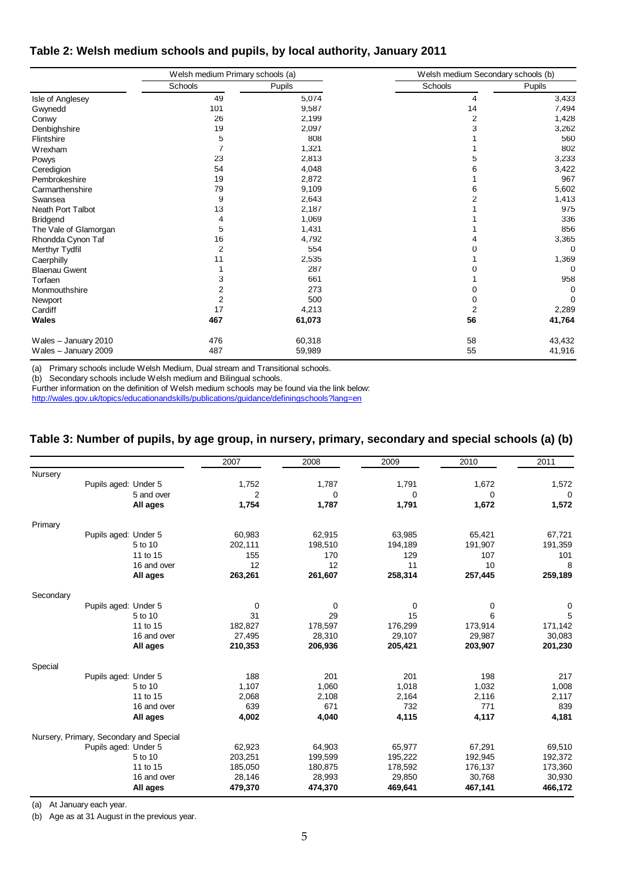#### <span id="page-4-0"></span>**Table 2: Welsh medium schools and pupils, by local authority, January 2011**

|                       | Welsh medium Primary schools (a) |        | Welsh medium Secondary schools (b) |                |
|-----------------------|----------------------------------|--------|------------------------------------|----------------|
|                       | Schools                          | Pupils | Schools                            | Pupils         |
| Isle of Anglesey      | 49                               | 5,074  | 4                                  | 3,433          |
| Gwynedd               | 101                              | 9,587  | 14                                 | 7,494          |
| Conwy                 | 26                               | 2,199  | 2                                  | 1,428          |
| Denbighshire          | 19                               | 2,097  | 3                                  | 3,262          |
| Flintshire            | 5                                | 808    |                                    | 560            |
| Wrexham               | 7                                | 1,321  |                                    | 802            |
| Powys                 | 23                               | 2,813  | 5                                  | 3,233          |
| Ceredigion            | 54                               | 4,048  | 6                                  | 3,422          |
| Pembrokeshire         | 19                               | 2,872  |                                    | 967            |
| Carmarthenshire       | 79                               | 9,109  | 6                                  | 5,602          |
| Swansea               | 9                                | 2,643  | 2                                  | 1,413          |
| Neath Port Talbot     | 13                               | 2,187  |                                    | 975            |
| <b>Bridgend</b>       | 4                                | 1,069  |                                    | 336            |
| The Vale of Glamorgan | 5                                | 1,431  |                                    | 856            |
| Rhondda Cynon Taf     | 16                               | 4,792  |                                    | 3,365          |
| Merthyr Tydfil        | 2                                | 554    |                                    | $\Omega$       |
| Caerphilly            | 11                               | 2,535  |                                    | 1,369          |
| <b>Blaenau Gwent</b>  |                                  | 287    |                                    | $\overline{0}$ |
| Torfaen               | 3                                | 661    |                                    | 958            |
| Monmouthshire         | 2                                | 273    |                                    | $\Omega$       |
| Newport               | $\overline{2}$                   | 500    | 0                                  | $\Omega$       |
| Cardiff               | 17                               | 4,213  | 2                                  | 2,289          |
| <b>Wales</b>          | 467                              | 61,073 | 56                                 | 41,764         |
| Wales - January 2010  | 476                              | 60,318 | 58                                 | 43,432         |
| Wales - January 2009  | 487                              | 59,989 | 55                                 | 41,916         |

(a) Primary schools include Welsh Medium, Dual stream and Transitional schools.

(b) Secondary schools include Welsh medium and Bilingual schools.

Further information on the definition of Welsh medium schools may be found via the link below:

http://wales.gov.uk/topics/educationandskills/publications/guidance/definingschools?lang=en

#### **Table 3: Number of pupils, by age group, in nursery, primary, secondary and special schools (a) (b)**

|           |                                         |             | 2007        | 2008    | 2009     | 2010     | 2011        |
|-----------|-----------------------------------------|-------------|-------------|---------|----------|----------|-------------|
| Nursery   |                                         |             |             |         |          |          |             |
|           | Pupils aged: Under 5                    |             | 1,752       | 1,787   | 1,791    | 1,672    | 1,572       |
|           |                                         | 5 and over  | 2           | 0       | $\Omega$ | $\Omega$ | $\mathbf 0$ |
|           |                                         | All ages    | 1,754       | 1,787   | 1,791    | 1,672    | 1,572       |
| Primary   |                                         |             |             |         |          |          |             |
|           | Pupils aged: Under 5                    |             | 60,983      | 62,915  | 63,985   | 65,421   | 67,721      |
|           |                                         | 5 to 10     | 202,111     | 198,510 | 194,189  | 191,907  | 191,359     |
|           |                                         | 11 to 15    | 155         | 170     | 129      | 107      | 101         |
|           |                                         | 16 and over | 12          | 12      | 11       | 10       | 8           |
|           |                                         | All ages    | 263,261     | 261,607 | 258,314  | 257,445  | 259,189     |
| Secondary |                                         |             |             |         |          |          |             |
|           | Pupils aged: Under 5                    |             | $\mathbf 0$ | 0       | 0        | 0        | 0           |
|           |                                         | 5 to 10     | 31          | 29      | 15       | 6        | 5           |
|           |                                         | 11 to 15    | 182,827     | 178,597 | 176,299  | 173,914  | 171,142     |
|           |                                         | 16 and over | 27,495      | 28,310  | 29,107   | 29,987   | 30,083      |
|           |                                         | All ages    | 210,353     | 206,936 | 205,421  | 203,907  | 201,230     |
| Special   |                                         |             |             |         |          |          |             |
|           | Pupils aged: Under 5                    |             | 188         | 201     | 201      | 198      | 217         |
|           |                                         | 5 to 10     | 1,107       | 1,060   | 1,018    | 1,032    | 1,008       |
|           |                                         | 11 to 15    | 2,068       | 2,108   | 2,164    | 2,116    | 2,117       |
|           |                                         | 16 and over | 639         | 671     | 732      | 771      | 839         |
|           |                                         | All ages    | 4,002       | 4,040   | 4,115    | 4,117    | 4,181       |
|           | Nursery, Primary, Secondary and Special |             |             |         |          |          |             |
|           | Pupils aged: Under 5                    |             | 62,923      | 64,903  | 65,977   | 67,291   | 69,510      |
|           |                                         | 5 to 10     | 203,251     | 199,599 | 195,222  | 192,945  | 192,372     |
|           |                                         | 11 to 15    | 185,050     | 180,875 | 178,592  | 176,137  | 173,360     |
|           |                                         | 16 and over | 28,146      | 28,993  | 29,850   | 30,768   | 30,930      |
|           |                                         | All ages    | 479,370     | 474,370 | 469,641  | 467,141  | 466,172     |

(a) At January each year.

(b) Age as at 31 August in the previous year.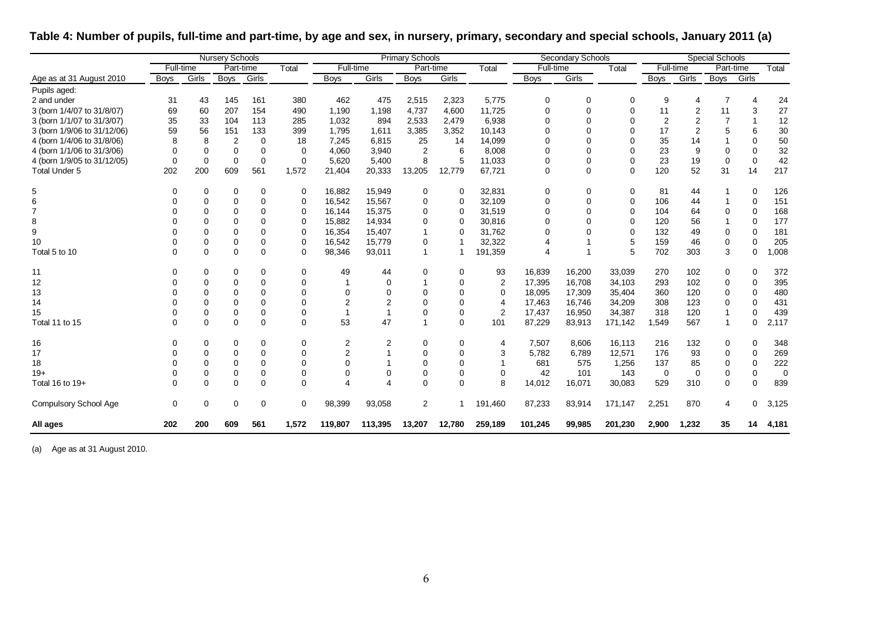|                             |             |          | <b>Nursery Schools</b> |             |          |             |          | <b>Primary Schools</b> |          |                |             | <b>Secondary Schools</b> |          |                |       | <b>Special Schools</b> |          |          |
|-----------------------------|-------------|----------|------------------------|-------------|----------|-------------|----------|------------------------|----------|----------------|-------------|--------------------------|----------|----------------|-------|------------------------|----------|----------|
|                             | Full-time   |          |                        | Part-time   | Total    | Full-time   |          | Part-time              |          | Total          | Full-time   |                          | Total    | Full-time      |       | Part-time              |          | Total    |
| Age as at 31 August 2010    | <b>Boys</b> | Girls    | <b>Boys</b>            | Girls       |          | <b>Boys</b> | Girls    | <b>Boys</b>            | Girls    |                | <b>Boys</b> | Girls                    |          | <b>Boys</b>    | Girls | <b>Boys</b>            | Girls    |          |
| Pupils aged:                |             |          |                        |             |          |             |          |                        |          |                |             |                          |          |                |       |                        |          |          |
| 2 and under                 | 31          | 43       | 145                    | 161         | 380      | 462         | 475      | 2,515                  | 2,323    | 5,775          | 0           | 0                        | 0        | 9              | 4     | -7                     |          | 24       |
| 3 (born 1/4/07 to 31/8/07)  | 69          | 60       | 207                    | 154         | 490      | 1,190       | 1,198    | 4,737                  | 4,600    | 11,725         | 0           | 0                        | $\Omega$ | 11             | 2     | 11                     |          | 27       |
| 3 (born 1/1/07 to 31/3/07)  | 35          | 33       | 104                    | 113         | 285      | 1,032       | 894      | 2,533                  | 2,479    | 6,938          | 0           | ი                        | ∩        | $\overline{2}$ |       |                        |          | 12       |
| 3 (born 1/9/06 to 31/12/06) | 59          | 56       | 151                    | 133         | 399      | 1,795       | 1,611    | 3,385                  | 3,352    | 10,143         | 0           | ი                        |          | 17             |       |                        |          | 30       |
| 4 (born 1/4/06 to 31/8/06)  | 8           |          | 2                      | $\Omega$    | 18       | 7,245       | 6,815    | 25                     | 14       | 14,099         | ∩           | ი                        |          | 35             | 14    |                        |          | 50       |
| 4 (born 1/1/06 to 31/3/06)  |             |          | U                      | 0           | $\Omega$ | 4,060       | 3,940    | 2                      | 6        | 8,008          | U           | ი                        |          | 23             | 9     | $\Omega$               |          | 32       |
| 4 (born 1/9/05 to 31/12/05) | 0           | $\Omega$ | 0                      | $\mathbf 0$ | 0        | 5,620       | 5,400    | 8                      | 5        | 11,033         | 0           | ი                        | 0        | 23             | 19    | $\mathbf 0$            |          | 42       |
| Total Under 5               | 202         | 200      | 609                    | 561         | 1,572    | 21,404      | 20,333   | 13,205                 | 12,779   | 67,721         | $\Omega$    | U                        | $\Omega$ | 120            | 52    | 31                     | 14       | 217      |
| 5                           |             | $\Omega$ | 0                      | 0           | 0        | 16,882      | 15,949   | 0                      | 0        | 32,831         | 0           | 0                        | 0        | 81             | 44    |                        | ∩        | 126      |
| 6                           |             |          | 0                      | 0           | $\Omega$ | 16,542      | 15,567   | 0                      | 0        | 32,109         | 0           | ი                        | 0        | 106            | 44    |                        | O        | 151      |
| $\overline{7}$              |             |          | O                      | 0           | 0        | 16,144      | 15,375   | 0                      | 0        | 31,519         | 0           | ი                        | $\Omega$ | 104            | 64    | 0                      |          | 168      |
| 8                           |             |          | O                      | 0           | 0        | 15,882      | 14,934   | 0                      | 0        | 30,816         |             | ი                        | $\Omega$ | 120            | 56    |                        |          | 177      |
| 9                           |             |          | O                      | 0           | 0        | 16,354      | 15,407   |                        | 0        | 31,762         |             |                          | $\Omega$ | 132            | 49    | 0                      |          | 181      |
| 10                          |             |          | 0                      | 0           | 0        | 16,542      | 15,779   | 0                      |          | 32,322         |             |                          | 5        | 159            | 46    | 0                      |          | 205      |
| Total 5 to 10               |             |          | 0                      | $\Omega$    | 0        | 98,346      | 93,011   | 1                      | 1        | 191,359        | Δ           |                          | 5        | 702            | 303   | 3                      |          | 1,008    |
| 11                          |             |          | 0                      | 0           | 0        | 49          | 44       | 0                      | 0        | 93             | 16,839      | 16,200                   | 33,039   | 270            | 102   | 0                      |          | 372      |
| 12                          |             |          | 0                      | 0           | 0        |             | $\Omega$ |                        |          | $\overline{2}$ | 17,395      | 16,708                   | 34,103   | 293            | 102   | 0                      | 0        | 395      |
| 13                          |             |          |                        | 0           | 0        |             |          |                        |          | $\mathbf 0$    | 18,095      | 17,309                   | 35,404   | 360            | 120   | $\mathbf 0$            |          | 480      |
| 14                          |             |          |                        | ი           | 0        |             |          |                        |          | 4              | 17,463      | 16,746                   | 34,209   | 308            | 123   | $\Omega$               |          | 431      |
| 15                          |             |          |                        | 0           | Ω        |             |          |                        | 0        | $\overline{2}$ | 17,437      | 16,950                   | 34,387   | 318            | 120   |                        |          | 439      |
| Total 11 to 15              |             |          | 0                      | $\Omega$    | 0        | 53          | 47       |                        | $\Omega$ | 101            | 87,229      | 83,913                   | 171,142  | 1,549          | 567   | $\mathbf 1$            | $\Omega$ | 2,117    |
| 16                          | O           | $\Omega$ | 0                      | 0           | 0        | 2           |          | 0                      | 0        | 4              | 7,507       | 8,606                    | 16,113   | 216            | 132   | 0                      |          | 348      |
| 17                          |             |          |                        | 0           | 0        | 2           |          |                        | $\Omega$ | 3              | 5,782       | 6,789                    | 12,571   | 176            | 93    | $\mathbf 0$            |          | 269      |
| 18                          |             |          |                        | 0           | 0        | U           |          | 0                      | 0        |                | 681         | 575                      | 1,256    | 137            | 85    | 0                      |          | 222      |
| $19+$                       |             |          |                        | $\Omega$    | 0        | 0           |          | 0                      | 0        | 0              | 42          | 101                      | 143      | 0              | 0     | 0                      |          | $\Omega$ |
| Total 16 to $19+$           | 0           |          | 0                      | $\Omega$    | 0        | Δ           |          | $\Omega$               | 0        | 8              | 14,012      | 16,071                   | 30,083   | 529            | 310   | $\mathbf 0$            |          | 839      |
| Compulsory School Age       | $\Omega$    | $\Omega$ | $\Omega$               | 0           | $\Omega$ | 98,399      | 93,058   | $\overline{2}$         |          | 191,460        | 87,233      | 83,914                   | 171,147  | 2,251          | 870   | $\overline{4}$         | O        | 3,125    |
| All ages                    | 202         | 200      | 609                    | 561         | 1,572    | 119,807     | 113,395  | 13,207                 | 12,780   | 259,189        | 101,245     | 99,985                   | 201,230  | 2,900          | 1,232 | 35                     | 14       | 4,181    |

# **Table 4: Number of pupils, full-time and part-time, by age and sex, in nursery, primary, secondary and special schools, January 2011 (a)**

<span id="page-5-0"></span>(a) Age as at 31 August 2010.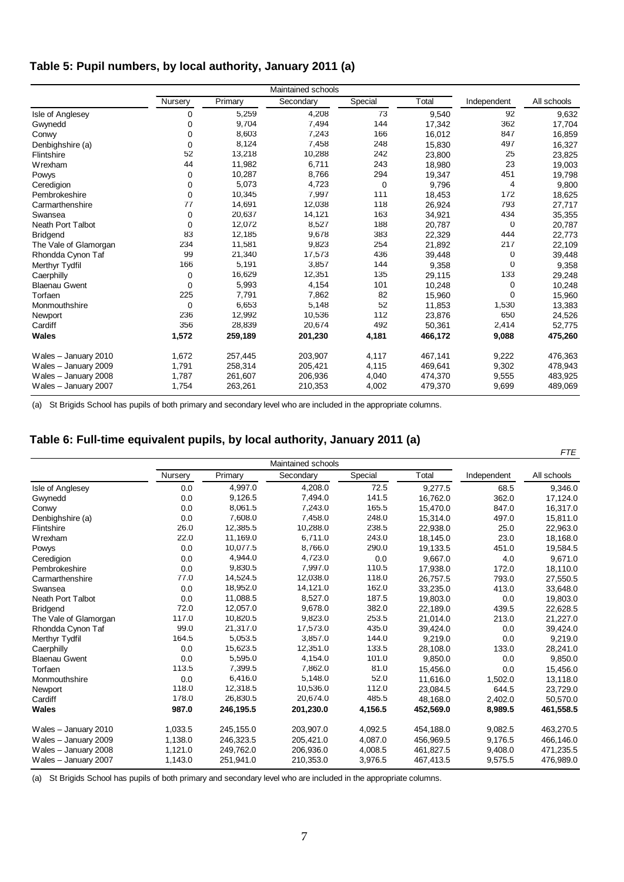# <span id="page-6-0"></span>**Table 5: Pupil numbers, by local authority, January 2011 (a)**

|                          |             |         | Maintained schools |             |         |             |             |
|--------------------------|-------------|---------|--------------------|-------------|---------|-------------|-------------|
|                          | Nursery     | Primary | Secondary          | Special     | Total   | Independent | All schools |
| Isle of Anglesey         | $\Omega$    | 5,259   | 4,208              | 73          | 9,540   | 92          | 9,632       |
| Gwynedd                  | 0           | 9,704   | 7,494              | 144         | 17,342  | 362         | 17,704      |
| Conwy                    | $\Omega$    | 8,603   | 7,243              | 166         | 16,012  | 847         | 16,859      |
| Denbighshire (a)         | $\Omega$    | 8,124   | 7,458              | 248         | 15,830  | 497         | 16,327      |
| Flintshire               | 52          | 13,218  | 10,288             | 242         | 23,800  | 25          | 23,825      |
| Wrexham                  | 44          | 11,982  | 6,711              | 243         | 18,980  | 23          | 19,003      |
| Powys                    | $\mathbf 0$ | 10,287  | 8,766              | 294         | 19,347  | 451         | 19,798      |
| Ceredigion               | $\mathbf 0$ | 5,073   | 4,723              | $\mathbf 0$ | 9.796   | 4           | 9,800       |
| Pembrokeshire            | $\mathbf 0$ | 10,345  | 7,997              | 111         | 18,453  | 172         | 18,625      |
| Carmarthenshire          | 77          | 14,691  | 12,038             | 118         | 26,924  | 793         | 27,717      |
| Swansea                  | $\mathbf 0$ | 20,637  | 14,121             | 163         | 34,921  | 434         | 35,355      |
| <b>Neath Port Talbot</b> | $\mathbf 0$ | 12,072  | 8,527              | 188         | 20,787  | 0           | 20,787      |
| <b>Bridgend</b>          | 83          | 12,185  | 9,678              | 383         | 22,329  | 444         | 22,773      |
| The Vale of Glamorgan    | 234         | 11,581  | 9,823              | 254         | 21,892  | 217         | 22,109      |
| Rhondda Cynon Taf        | 99          | 21,340  | 17,573             | 436         | 39,448  | 0           | 39,448      |
| Merthyr Tydfil           | 166         | 5,191   | 3,857              | 144         | 9,358   | 0           | 9,358       |
| Caerphilly               | $\mathbf 0$ | 16,629  | 12,351             | 135         | 29,115  | 133         | 29,248      |
| <b>Blaenau Gwent</b>     | $\Omega$    | 5,993   | 4,154              | 101         | 10,248  | 0           | 10,248      |
| Torfaen                  | 225         | 7,791   | 7.862              | 82          | 15,960  | $\Omega$    | 15,960      |
| Monmouthshire            | $\Omega$    | 6,653   | 5,148              | 52          | 11,853  | 1,530       | 13,383      |
| Newport                  | 236         | 12,992  | 10,536             | 112         | 23,876  | 650         | 24,526      |
| Cardiff                  | 356         | 28,839  | 20,674             | 492         | 50,361  | 2,414       | 52,775      |
| <b>Wales</b>             | 1,572       | 259,189 | 201,230            | 4,181       | 466,172 | 9,088       | 475,260     |
| Wales - January 2010     | 1,672       | 257,445 | 203,907            | 4,117       | 467,141 | 9,222       | 476,363     |
| Wales - January 2009     | 1,791       | 258,314 | 205,421            | 4,115       | 469,641 | 9,302       | 478,943     |
| Wales - January 2008     | 1,787       | 261,607 | 206,936            | 4,040       | 474,370 | 9,555       | 483,925     |
| Wales - January 2007     | 1,754       | 263,261 | 210,353            | 4,002       | 479,370 | 9,699       | 489,069     |

(a) St Brigids School has pupils of both primary and secondary level who are included in the appropriate columns.

#### **Table 6: Full-time equivalent pupils, by local authority, January 2011 (a)**

|                          |         |           |                    |         |           |             | <b>FTE</b>  |
|--------------------------|---------|-----------|--------------------|---------|-----------|-------------|-------------|
|                          |         |           | Maintained schools |         |           |             |             |
|                          | Nursery | Primary   | Secondary          | Special | Total     | Independent | All schools |
| Isle of Anglesey         | 0.0     | 4,997.0   | 4,208.0            | 72.5    | 9,277.5   | 68.5        | 9,346.0     |
| Gwynedd                  | 0.0     | 9,126.5   | 7,494.0            | 141.5   | 16,762.0  | 362.0       | 17,124.0    |
| Conwy                    | 0.0     | 8,061.5   | 7,243.0            | 165.5   | 15,470.0  | 847.0       | 16,317.0    |
| Denbighshire (a)         | 0.0     | 7,608.0   | 7,458.0            | 248.0   | 15,314.0  | 497.0       | 15,811.0    |
| Flintshire               | 26.0    | 12,385.5  | 10,288.0           | 238.5   | 22,938.0  | 25.0        | 22,963.0    |
| Wrexham                  | 22.0    | 11,169.0  | 6,711.0            | 243.0   | 18,145.0  | 23.0        | 18,168.0    |
| Powys                    | 0.0     | 10,077.5  | 8,766.0            | 290.0   | 19,133.5  | 451.0       | 19,584.5    |
| Ceredigion               | 0.0     | 4,944.0   | 4,723.0            | 0.0     | 9,667.0   | 4.0         | 9,671.0     |
| Pembrokeshire            | 0.0     | 9.830.5   | 7.997.0            | 110.5   | 17,938.0  | 172.0       | 18,110.0    |
| Carmarthenshire          | 77.0    | 14,524.5  | 12,038.0           | 118.0   | 26,757.5  | 793.0       | 27,550.5    |
| Swansea                  | 0.0     | 18,952.0  | 14,121.0           | 162.0   | 33,235.0  | 413.0       | 33,648.0    |
| <b>Neath Port Talbot</b> | 0.0     | 11,088.5  | 8,527.0            | 187.5   | 19,803.0  | 0.0         | 19,803.0    |
| <b>Bridgend</b>          | 72.0    | 12,057.0  | 9.678.0            | 382.0   | 22,189.0  | 439.5       | 22,628.5    |
| The Vale of Glamorgan    | 117.0   | 10,820.5  | 9,823.0            | 253.5   | 21,014.0  | 213.0       | 21,227.0    |
| Rhondda Cynon Taf        | 99.0    | 21,317.0  | 17,573.0           | 435.0   | 39,424.0  | 0.0         | 39,424.0    |
| Merthyr Tydfil           | 164.5   | 5,053.5   | 3,857.0            | 144.0   | 9,219.0   | 0.0         | 9,219.0     |
| Caerphilly               | 0.0     | 15,623.5  | 12,351.0           | 133.5   | 28,108.0  | 133.0       | 28,241.0    |
| <b>Blaenau Gwent</b>     | 0.0     | 5,595.0   | 4,154.0            | 101.0   | 9,850.0   | 0.0         | 9,850.0     |
| Torfaen                  | 113.5   | 7.399.5   | 7.862.0            | 81.0    | 15.456.0  | 0.0         | 15,456.0    |
| Monmouthshire            | 0.0     | 6,416.0   | 5,148.0            | 52.0    | 11,616.0  | 1,502.0     | 13,118.0    |
| Newport                  | 118.0   | 12,318.5  | 10,536.0           | 112.0   | 23.084.5  | 644.5       | 23.729.0    |
| Cardiff                  | 178.0   | 26,830.5  | 20,674.0           | 485.5   | 48,168.0  | 2,402.0     | 50,570.0    |
| <b>Wales</b>             | 987.0   | 246,195.5 | 201,230.0          | 4,156.5 | 452,569.0 | 8,989.5     | 461,558.5   |
| Wales - January 2010     | 1.033.5 | 245,155.0 | 203,907.0          | 4.092.5 | 454,188.0 | 9.082.5     | 463,270.5   |
| Wales - January 2009     | 1,138.0 | 246,323.5 | 205,421.0          | 4,087.0 | 456,969.5 | 9,176.5     | 466,146.0   |
| Wales - January 2008     | 1,121.0 | 249,762.0 | 206,936.0          | 4,008.5 | 461,827.5 | 9,408.0     | 471,235.5   |
| Wales - January 2007     | 1,143.0 | 251,941.0 | 210,353.0          | 3,976.5 | 467,413.5 | 9,575.5     | 476,989.0   |

(a) St Brigids School has pupils of both primary and secondary level who are included in the appropriate columns.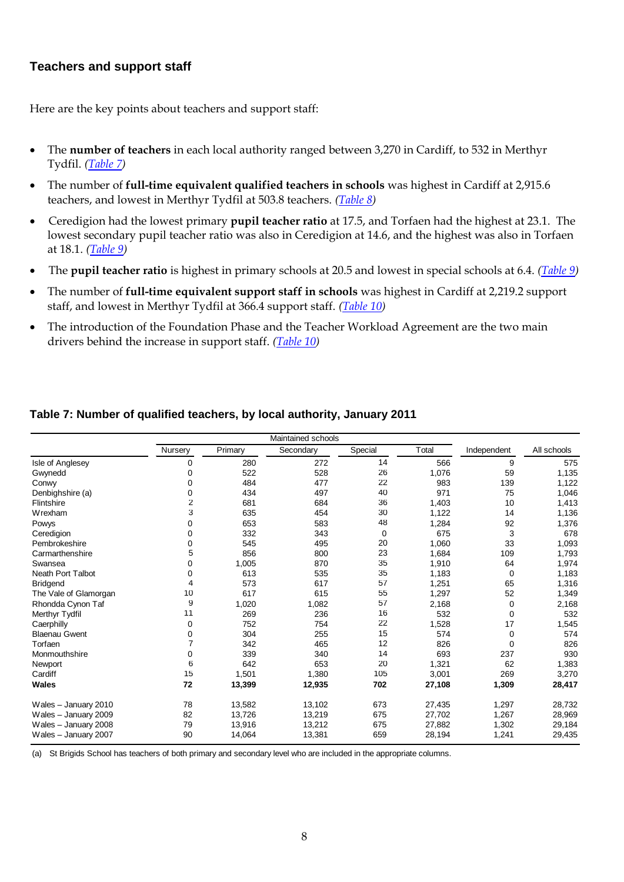#### <span id="page-7-0"></span>**Teachers and support staff**

Here are the key points about teachers and support staff:

- The **number of teachers** in each local authority ranged between 3,270 in Cardiff, to 532 in Merthyr Tydfil. *[\(Table 7](#page-7-0))*
- The number of **full-time equivalent qualified teachers in schools** was highest in Cardiff at 2,915.6 teachers, and lowest in Merthyr Tydfil at 503.8 teachers. *[\(Table 8](#page-8-0))*
- Ceredigion had the lowest primary **pupil teacher ratio** at 17.5, and Torfaen had the highest at 23.1. The lowest secondary pupil teacher ratio was also in Ceredigion at 14.6, and the highest was also in Torfaen at 18.1. *([Table 9\)](#page-9-0)*
- The **pupil teacher ratio** is highest in primary schools at 20.5 and lowest in special schools at 6.4. *([Table 9\)](#page-9-0)*
- The number of **full-time equivalent support staff in schools** was highest in Cardiff at 2,219.2 support staff, and lowest in Merthyr Tydfil at 366.4 support staff. *([Table 10](#page-9-0))*
- The introduction of the Foundation Phase and the Teacher Workload Agreement are the two main drivers behind the increase in support staff. *([Table 10\)](#page-9-0)*

|                          | Nursery     | Primary | Secondary | Special | Total  | Independent | All schools |
|--------------------------|-------------|---------|-----------|---------|--------|-------------|-------------|
| Isle of Anglesey         | $\mathbf 0$ | 280     | 272       | 14      | 566    | 9           | 575         |
| Gwynedd                  | 0           | 522     | 528       | 26      | 1,076  | 59          | 1,135       |
| Conwy                    | 0           | 484     | 477       | 22      | 983    | 139         | 1,122       |
| Denbighshire (a)         | 0           | 434     | 497       | 40      | 971    | 75          | 1,046       |
| Flintshire               | 2           | 681     | 684       | 36      | 1,403  | 10          | 1,413       |
| Wrexham                  | 3           | 635     | 454       | 30      | 1,122  | 14          | 1,136       |
| Powys                    | 0           | 653     | 583       | 48      | 1,284  | 92          | 1,376       |
| Ceredigion               | $\Omega$    | 332     | 343       | 0       | 675    | 3           | 678         |
| Pembrokeshire            | 0           | 545     | 495       | 20      | 1.060  | 33          | 1,093       |
| Carmarthenshire          | 5           | 856     | 800       | 23      | 1.684  | 109         | 1,793       |
| Swansea                  | 0           | 1,005   | 870       | 35      | 1.910  | 64          | 1,974       |
| <b>Neath Port Talbot</b> | 0           | 613     | 535       | 35      | 1,183  | 0           | 1,183       |
| <b>Bridgend</b>          | 4           | 573     | 617       | 57      | 1,251  | 65          | 1,316       |
| The Vale of Glamorgan    | 10          | 617     | 615       | 55      | 1.297  | 52          | 1,349       |
| Rhondda Cynon Taf        | 9           | 1,020   | 1,082     | 57      | 2,168  | $\mathbf 0$ | 2,168       |
| Merthyr Tydfil           | 11          | 269     | 236       | 16      | 532    | $\mathbf 0$ | 532         |
| Caerphilly               | $\mathbf 0$ | 752     | 754       | 22      | 1,528  | 17          | 1,545       |
| <b>Blaenau Gwent</b>     | $\mathbf 0$ | 304     | 255       | 15      | 574    | $\mathbf 0$ | 574         |
| Torfaen                  | 7           | 342     | 465       | 12      | 826    | $\Omega$    | 826         |
| Monmouthshire            | 0           | 339     | 340       | 14      | 693    | 237         | 930         |
| Newport                  | 6           | 642     | 653       | 20      | 1,321  | 62          | 1,383       |
| Cardiff                  | 15          | 1,501   | 1,380     | 105     | 3,001  | 269         | 3,270       |
| <b>Wales</b>             | 72          | 13,399  | 12,935    | 702     | 27,108 | 1,309       | 28,417      |
| Wales - January 2010     | 78          | 13,582  | 13,102    | 673     | 27,435 | 1,297       | 28,732      |
| Wales - January 2009     | 82          | 13,726  | 13,219    | 675     | 27,702 | 1,267       | 28,969      |
| Wales - January 2008     | 79          | 13,916  | 13,212    | 675     | 27,882 | 1,302       | 29,184      |
| Wales - January 2007     | 90          | 14,064  | 13,381    | 659     | 28,194 | 1,241       | 29,435      |

#### **Table 7: Number of qualified teachers, by local authority, January 2011**

(a) St Brigids School has teachers of both primary and secondary level who are included in the appropriate columns.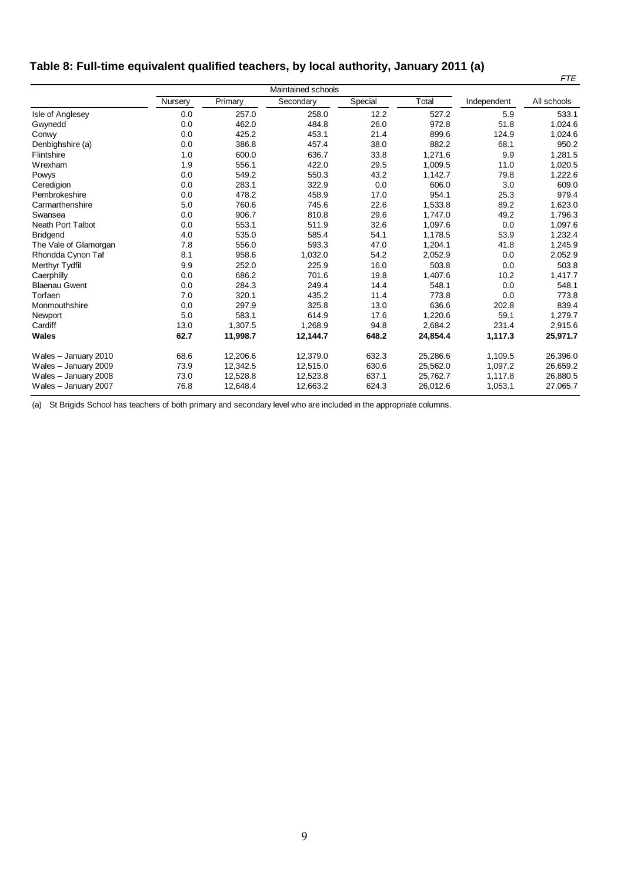# <span id="page-8-0"></span>**Table 8: Full-time equivalent qualified teachers, by local authority, January 2011 (a)**

|                          |         |          |                    |         |          |             | <b>FTE</b>  |
|--------------------------|---------|----------|--------------------|---------|----------|-------------|-------------|
|                          |         |          | Maintained schools |         |          |             |             |
|                          | Nursery | Primary  | Secondary          | Special | Total    | Independent | All schools |
| Isle of Anglesey         | 0.0     | 257.0    | 258.0              | 12.2    | 527.2    | 5.9         | 533.1       |
| Gwynedd                  | 0.0     | 462.0    | 484.8              | 26.0    | 972.8    | 51.8        | 1,024.6     |
| Conwy                    | 0.0     | 425.2    | 453.1              | 21.4    | 899.6    | 124.9       | 1,024.6     |
| Denbighshire (a)         | 0.0     | 386.8    | 457.4              | 38.0    | 882.2    | 68.1        | 950.2       |
| Flintshire               | 1.0     | 600.0    | 636.7              | 33.8    | 1,271.6  | 9.9         | 1,281.5     |
| Wrexham                  | 1.9     | 556.1    | 422.0              | 29.5    | 1,009.5  | 11.0        | 1,020.5     |
| Powys                    | 0.0     | 549.2    | 550.3              | 43.2    | 1,142.7  | 79.8        | 1,222.6     |
| Ceredigion               | 0.0     | 283.1    | 322.9              | 0.0     | 606.0    | 3.0         | 609.0       |
| Pembrokeshire            | 0.0     | 478.2    | 458.9              | 17.0    | 954.1    | 25.3        | 979.4       |
| Carmarthenshire          | 5.0     | 760.6    | 745.6              | 22.6    | 1,533.8  | 89.2        | 1,623.0     |
| Swansea                  | 0.0     | 906.7    | 810.8              | 29.6    | 1,747.0  | 49.2        | 1,796.3     |
| <b>Neath Port Talbot</b> | 0.0     | 553.1    | 511.9              | 32.6    | 1,097.6  | 0.0         | 1,097.6     |
| <b>Bridgend</b>          | 4.0     | 535.0    | 585.4              | 54.1    | 1,178.5  | 53.9        | 1,232.4     |
| The Vale of Glamorgan    | 7.8     | 556.0    | 593.3              | 47.0    | 1,204.1  | 41.8        | 1,245.9     |
| Rhondda Cynon Taf        | 8.1     | 958.6    | 1,032.0            | 54.2    | 2,052.9  | 0.0         | 2,052.9     |
| Merthyr Tydfil           | 9.9     | 252.0    | 225.9              | 16.0    | 503.8    | 0.0         | 503.8       |
| Caerphilly               | 0.0     | 686.2    | 701.6              | 19.8    | 1,407.6  | 10.2        | 1,417.7     |
| <b>Blaenau Gwent</b>     | 0.0     | 284.3    | 249.4              | 14.4    | 548.1    | 0.0         | 548.1       |
| Torfaen                  | 7.0     | 320.1    | 435.2              | 11.4    | 773.8    | 0.0         | 773.8       |
| Monmouthshire            | 0.0     | 297.9    | 325.8              | 13.0    | 636.6    | 202.8       | 839.4       |
| Newport                  | 5.0     | 583.1    | 614.9              | 17.6    | 1,220.6  | 59.1        | 1,279.7     |
| Cardiff                  | 13.0    | 1,307.5  | 1,268.9            | 94.8    | 2,684.2  | 231.4       | 2,915.6     |
| <b>Wales</b>             | 62.7    | 11,998.7 | 12,144.7           | 648.2   | 24,854.4 | 1,117.3     | 25,971.7    |
| Wales - January 2010     | 68.6    | 12,206.6 | 12,379.0           | 632.3   | 25,286.6 | 1,109.5     | 26,396.0    |
| Wales - January 2009     | 73.9    | 12,342.5 | 12,515.0           | 630.6   | 25,562.0 | 1,097.2     | 26,659.2    |
| Wales - January 2008     | 73.0    | 12,528.8 | 12,523.8           | 637.1   | 25,762.7 | 1,117.8     | 26,880.5    |
| Wales - January 2007     | 76.8    | 12,648.4 | 12,663.2           | 624.3   | 26,012.6 | 1,053.1     | 27,065.7    |

(a) St Brigids School has teachers of both primary and secondary level who are included in the appropriate columns.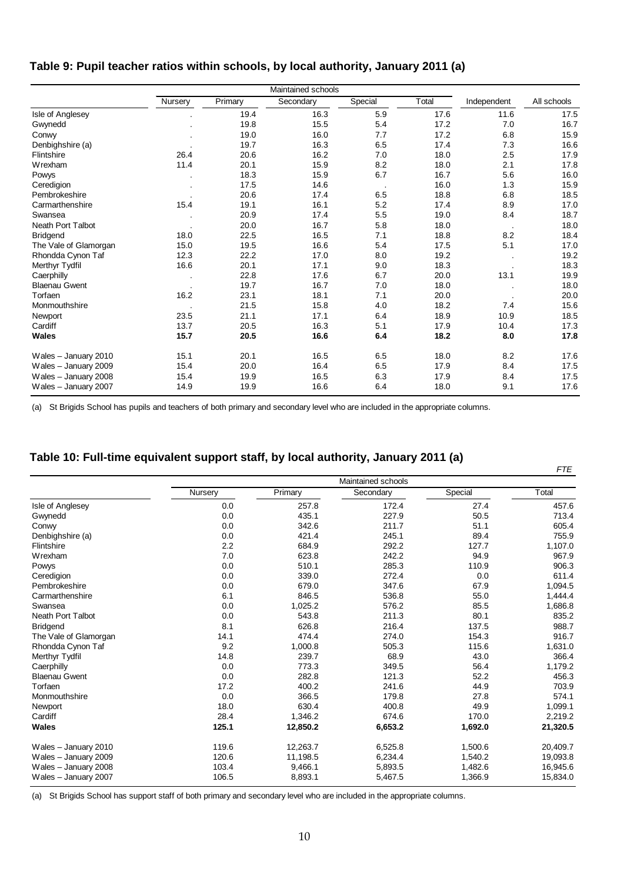# <span id="page-9-0"></span>**Table 9: Pupil teacher ratios within schools, by local authority, January 2011 (a)**

|                       |                          |         | Maintained schools |                |       |                          |             |
|-----------------------|--------------------------|---------|--------------------|----------------|-------|--------------------------|-------------|
|                       | Nursery                  | Primary | Secondary          | Special        | Total | Independent              | All schools |
| Isle of Anglesey      |                          | 19.4    | 16.3               | 5.9            | 17.6  | 11.6                     | 17.5        |
| Gwynedd               |                          | 19.8    | 15.5               | 5.4            | 17.2  | 7.0                      | 16.7        |
| Conwy                 |                          | 19.0    | 16.0               | 7.7            | 17.2  | 6.8                      | 15.9        |
| Denbighshire (a)      |                          | 19.7    | 16.3               | 6.5            | 17.4  | 7.3                      | 16.6        |
| Flintshire            | 26.4                     | 20.6    | 16.2               | 7.0            | 18.0  | 2.5                      | 17.9        |
| Wrexham               | 11.4                     | 20.1    | 15.9               | 8.2            | 18.0  | 2.1                      | 17.8        |
| Powys                 |                          | 18.3    | 15.9               | 6.7            | 16.7  | 5.6                      | 16.0        |
| Ceredigion            |                          | 17.5    | 14.6               | $\blacksquare$ | 16.0  | 1.3                      | 15.9        |
| Pembrokeshire         |                          | 20.6    | 17.4               | 6.5            | 18.8  | 6.8                      | 18.5        |
| Carmarthenshire       | 15.4                     | 19.1    | 16.1               | 5.2            | 17.4  | 8.9                      | 17.0        |
| Swansea               |                          | 20.9    | 17.4               | 5.5            | 19.0  | 8.4                      | 18.7        |
| Neath Port Talbot     |                          | 20.0    | 16.7               | 5.8            | 18.0  | $\overline{\phantom{a}}$ | 18.0        |
| <b>Bridgend</b>       | 18.0                     | 22.5    | 16.5               | 7.1            | 18.8  | 8.2                      | 18.4        |
| The Vale of Glamorgan | 15.0                     | 19.5    | 16.6               | 5.4            | 17.5  | 5.1                      | 17.0        |
| Rhondda Cynon Taf     | 12.3                     | 22.2    | 17.0               | 8.0            | 19.2  |                          | 19.2        |
| Merthyr Tydfil        | 16.6                     | 20.1    | 17.1               | 9.0            | 18.3  |                          | 18.3        |
| Caerphilly            | $\overline{\phantom{a}}$ | 22.8    | 17.6               | 6.7            | 20.0  | 13.1                     | 19.9        |
| <b>Blaenau Gwent</b>  |                          | 19.7    | 16.7               | 7.0            | 18.0  |                          | 18.0        |
| Torfaen               | 16.2                     | 23.1    | 18.1               | 7.1            | 20.0  |                          | 20.0        |
| Monmouthshire         |                          | 21.5    | 15.8               | 4.0            | 18.2  | 7.4                      | 15.6        |
| Newport               | 23.5                     | 21.1    | 17.1               | 6.4            | 18.9  | 10.9                     | 18.5        |
| Cardiff               | 13.7                     | 20.5    | 16.3               | 5.1            | 17.9  | 10.4                     | 17.3        |
| <b>Wales</b>          | 15.7                     | 20.5    | 16.6               | 6.4            | 18.2  | 8.0                      | 17.8        |
| Wales - January 2010  | 15.1                     | 20.1    | 16.5               | 6.5            | 18.0  | 8.2                      | 17.6        |
| Wales - January 2009  | 15.4                     | 20.0    | 16.4               | 6.5            | 17.9  | 8.4                      | 17.5        |
| Wales - January 2008  | 15.4                     | 19.9    | 16.5               | 6.3            | 17.9  | 8.4                      | 17.5        |
| Wales - January 2007  | 14.9                     | 19.9    | 16.6               | 6.4            | 18.0  | 9.1                      | 17.6        |

(a) St Brigids School has pupils and teachers of both primary and secondary level who are included in the appropriate columns.

#### **Table 10: Full-time equivalent support staff, by local authority, January 2011 (a)**

|                          |         |          |                    |         | <b>FTE</b> |
|--------------------------|---------|----------|--------------------|---------|------------|
|                          |         |          | Maintained schools |         |            |
|                          | Nursery | Primary  | Secondary          | Special | Total      |
| Isle of Anglesey         | 0.0     | 257.8    | 172.4              | 27.4    | 457.6      |
| Gwynedd                  | 0.0     | 435.1    | 227.9              | 50.5    | 713.4      |
| Conwy                    | 0.0     | 342.6    | 211.7              | 51.1    | 605.4      |
| Denbighshire (a)         | 0.0     | 421.4    | 245.1              | 89.4    | 755.9      |
| Flintshire               | 2.2     | 684.9    | 292.2              | 127.7   | 1,107.0    |
| Wrexham                  | 7.0     | 623.8    | 242.2              | 94.9    | 967.9      |
| Powys                    | 0.0     | 510.1    | 285.3              | 110.9   | 906.3      |
| Ceredigion               | 0.0     | 339.0    | 272.4              | 0.0     | 611.4      |
| Pembrokeshire            | 0.0     | 679.0    | 347.6              | 67.9    | 1,094.5    |
| Carmarthenshire          | 6.1     | 846.5    | 536.8              | 55.0    | 1,444.4    |
| Swansea                  | 0.0     | 1,025.2  | 576.2              | 85.5    | 1,686.8    |
| <b>Neath Port Talbot</b> | 0.0     | 543.8    | 211.3              | 80.1    | 835.2      |
| <b>Bridgend</b>          | 8.1     | 626.8    | 216.4              | 137.5   | 988.7      |
| The Vale of Glamorgan    | 14.1    | 474.4    | 274.0              | 154.3   | 916.7      |
| Rhondda Cynon Taf        | 9.2     | 1,000.8  | 505.3              | 115.6   | 1,631.0    |
| Merthyr Tydfil           | 14.8    | 239.7    | 68.9               | 43.0    | 366.4      |
| Caerphilly               | 0.0     | 773.3    | 349.5              | 56.4    | 1,179.2    |
| <b>Blaenau Gwent</b>     | 0.0     | 282.8    | 121.3              | 52.2    | 456.3      |
| Torfaen                  | 17.2    | 400.2    | 241.6              | 44.9    | 703.9      |
| Monmouthshire            | 0.0     | 366.5    | 179.8              | 27.8    | 574.1      |
| Newport                  | 18.0    | 630.4    | 400.8              | 49.9    | 1,099.1    |
| Cardiff                  | 28.4    | 1,346.2  | 674.6              | 170.0   | 2,219.2    |
| <b>Wales</b>             | 125.1   | 12,850.2 | 6,653.2            | 1,692.0 | 21,320.5   |
| Wales - January 2010     | 119.6   | 12,263.7 | 6,525.8            | 1,500.6 | 20,409.7   |
| Wales - January 2009     | 120.6   | 11,198.5 | 6,234.4            | 1,540.2 | 19,093.8   |
| Wales - January 2008     | 103.4   | 9,466.1  | 5,893.5            | 1,482.6 | 16,945.6   |
| Wales - January 2007     | 106.5   | 8,893.1  | 5,467.5            | 1,366.9 | 15,834.0   |

(a) St Brigids School has support staff of both primary and secondary level who are included in the appropriate columns.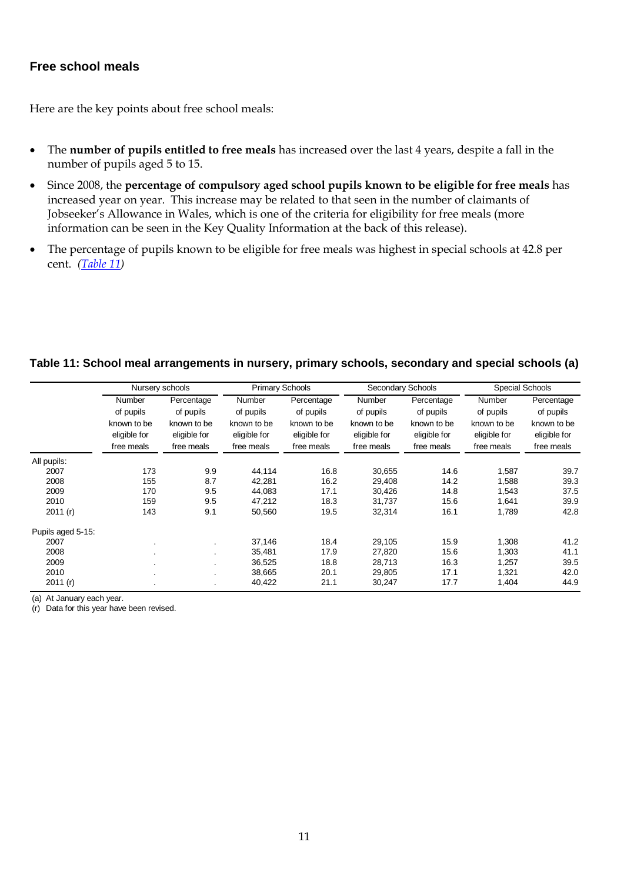#### <span id="page-10-0"></span>**Free school meals**

Here are the key points about free school meals:

- The **number of pupils entitled to free meals** has increased over the last 4 years, despite a fall in the number of pupils aged 5 to 15.
- Since 2008, the **percentage of compulsory aged school pupils known to be eligible for free meals** has increased year on year. This increase may be related to that seen in the number of claimants of Jobseeker's Allowance in Wales, which is one of the criteria for eligibility for free meals (more information can be seen in the Key Quality Information at the back of this release).
- The percentage of pupils known to be eligible for free meals was highest in special schools at 42.8 per cent. *[\(Table 11](#page-10-0))*

#### **Table 11: School meal arrangements in nursery, primary schools, secondary and special schools (a)**

|                   |              | Nursery schools |              | <b>Primary Schools</b> | Secondary Schools |              | <b>Special Schools</b> |              |  |
|-------------------|--------------|-----------------|--------------|------------------------|-------------------|--------------|------------------------|--------------|--|
|                   | Number       | Percentage      | Number       | Percentage             | Number            | Percentage   | Number                 | Percentage   |  |
|                   | of pupils    | of pupils       | of pupils    | of pupils              | of pupils         | of pupils    | of pupils              | of pupils    |  |
|                   | known to be  | known to be     | known to be  | known to be            | known to be       | known to be  | known to be            | known to be  |  |
|                   | eligible for | eligible for    | eligible for | eligible for           | eligible for      | eligible for | eligible for           | eligible for |  |
|                   | free meals   | free meals      | free meals   | free meals             | free meals        | free meals   | free meals             | free meals   |  |
| All pupils:       |              |                 |              |                        |                   |              |                        |              |  |
| 2007              | 173          | 9.9             | 44,114       | 16.8                   | 30,655            | 14.6         | 1,587                  | 39.7         |  |
| 2008              | 155          | 8.7             | 42,281       | 16.2                   | 29.408            | 14.2         | 1,588                  | 39.3         |  |
| 2009              | 170          | 9.5             | 44,083       | 17.1                   | 30,426            | 14.8         | 1,543                  | 37.5         |  |
| 2010              | 159          | 9.5             | 47,212       | 18.3                   | 31,737            | 15.6         | 1,641                  | 39.9         |  |
| 2011(r)           | 143          | 9.1             | 50,560       | 19.5                   | 32,314            | 16.1         | 1,789                  | 42.8         |  |
| Pupils aged 5-15: |              |                 |              |                        |                   |              |                        |              |  |
| 2007              |              | $\bullet$       | 37,146       | 18.4                   | 29,105            | 15.9         | 1,308                  | 41.2         |  |
| 2008              |              | ٠.              | 35,481       | 17.9                   | 27,820            | 15.6         | 1,303                  | 41.1         |  |
| 2009              | $\cdot$      | ٠.              | 36,525       | 18.8                   | 28,713            | 16.3         | 1,257                  | 39.5         |  |
| 2010              |              | ٠.              | 38,665       | 20.1                   | 29,805            | 17.1         | 1,321                  | 42.0         |  |
| 2011(r)           |              |                 | 40,422       | 21.1                   | 30,247            | 17.7         | 1,404                  | 44.9         |  |

(a) At January each year.

(r) Data for this year have been revised.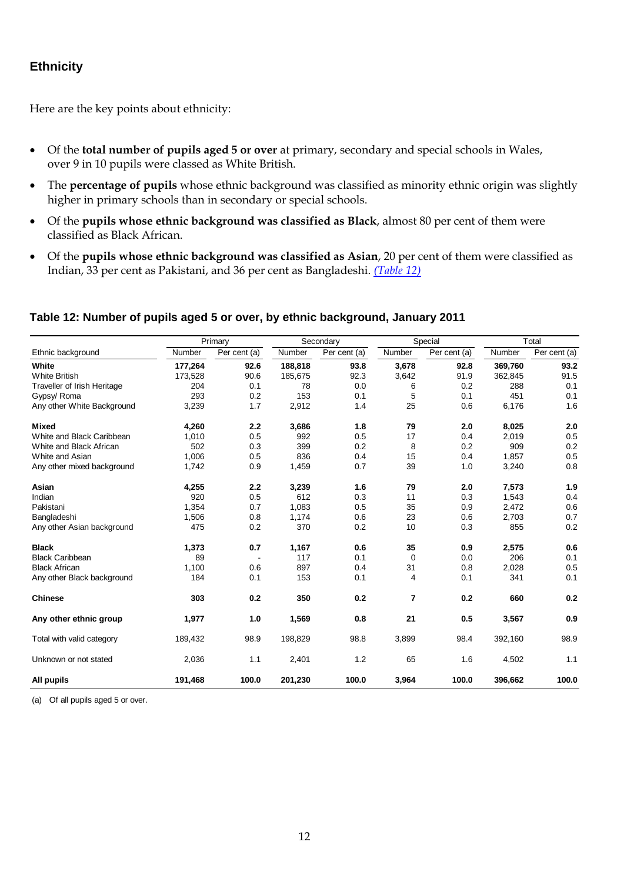# <span id="page-11-0"></span>**Ethnicity**

Here are the key points about ethnicity:

- Of the **total number of pupils aged 5 or over** at primary, secondary and special schools in Wales, over 9 in 10 pupils were classed as White British.
- The **percentage of pupils** whose ethnic background was classified as minority ethnic origin was slightly higher in primary schools than in secondary or special schools.
- Of the **pupils whose ethnic background was classified as Black**, almost 80 per cent of them were classified as Black African.
- Of the **pupils whose ethnic background was classified as Asian**, 20 per cent of them were classified as Indian, 33 per cent as Pakistani, and 36 per cent as Bangladeshi. *[\(Table 12\)](#page-11-0)*

#### **Table 12: Number of pupils aged 5 or over, by ethnic background, January 2011**

|                             |         | Primary      | Secondary |              |        | Special      | Total   |              |
|-----------------------------|---------|--------------|-----------|--------------|--------|--------------|---------|--------------|
| Ethnic background           | Number  | Per cent (a) | Number    | Per cent (a) | Number | Per cent (a) | Number  | Per cent (a) |
| White                       | 177,264 | 92.6         | 188,818   | 93.8         | 3,678  | 92.8         | 369,760 | 93.2         |
| <b>White British</b>        | 173,528 | 90.6         | 185,675   | 92.3         | 3,642  | 91.9         | 362,845 | 91.5         |
| Traveller of Irish Heritage | 204     | 0.1          | 78        | 0.0          | 6      | 0.2          | 288     | 0.1          |
| Gypsy/Roma                  | 293     | 0.2          | 153       | 0.1          | 5      | 0.1          | 451     | 0.1          |
| Any other White Background  | 3,239   | 1.7          | 2,912     | 1.4          | 25     | 0.6          | 6,176   | 1.6          |
| <b>Mixed</b>                | 4,260   | 2.2          | 3,686     | 1.8          | 79     | 2.0          | 8,025   | 2.0          |
| White and Black Caribbean   | 1,010   | 0.5          | 992       | 0.5          | 17     | 0.4          | 2,019   | 0.5          |
| White and Black African     | 502     | 0.3          | 399       | 0.2          | 8      | 0.2          | 909     | 0.2          |
| White and Asian             | 1,006   | 0.5          | 836       | 0.4          | 15     | 0.4          | 1,857   | 0.5          |
| Any other mixed background  | 1,742   | 0.9          | 1,459     | 0.7          | 39     | 1.0          | 3,240   | 0.8          |
| Asian                       | 4,255   | 2.2          | 3,239     | 1.6          | 79     | 2.0          | 7,573   | 1.9          |
| Indian                      | 920     | 0.5          | 612       | 0.3          | 11     | 0.3          | 1,543   | 0.4          |
| Pakistani                   | 1,354   | 0.7          | 1,083     | 0.5          | 35     | 0.9          | 2,472   | 0.6          |
| Bangladeshi                 | 1,506   | 0.8          | 1,174     | 0.6          | 23     | 0.6          | 2,703   | 0.7          |
| Any other Asian background  | 475     | 0.2          | 370       | 0.2          | 10     | 0.3          | 855     | 0.2          |
| <b>Black</b>                | 1,373   | 0.7          | 1,167     | 0.6          | 35     | 0.9          | 2,575   | 0.6          |
| <b>Black Caribbean</b>      | 89      |              | 117       | 0.1          | 0      | 0.0          | 206     | 0.1          |
| <b>Black African</b>        | 1,100   | 0.6          | 897       | 0.4          | 31     | 0.8          | 2,028   | 0.5          |
| Any other Black background  | 184     | 0.1          | 153       | 0.1          | 4      | 0.1          | 341     | 0.1          |
| <b>Chinese</b>              | 303     | 0.2          | 350       | 0.2          | 7      | 0.2          | 660     | 0.2          |
| Any other ethnic group      | 1,977   | 1.0          | 1,569     | 0.8          | 21     | 0.5          | 3,567   | 0.9          |
| Total with valid category   | 189,432 | 98.9         | 198,829   | 98.8         | 3,899  | 98.4         | 392,160 | 98.9         |
| Unknown or not stated       | 2,036   | 1.1          | 2,401     | 1.2          | 65     | 1.6          | 4,502   | 1.1          |
| All pupils                  | 191,468 | 100.0        | 201,230   | 100.0        | 3,964  | 100.0        | 396,662 | 100.0        |

(a) Of all pupils aged 5 or over.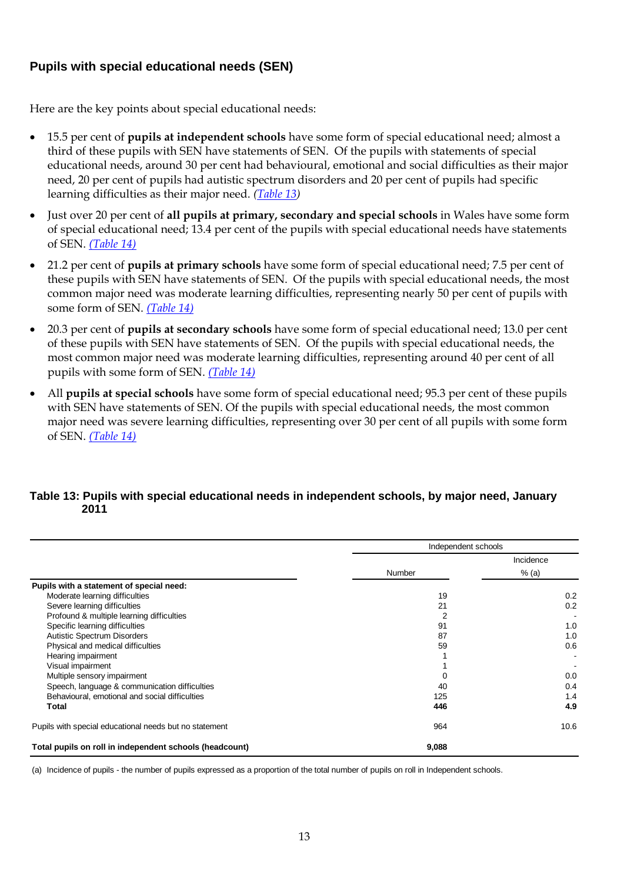# <span id="page-12-0"></span>**Pupils with special educational needs (SEN)**

Here are the key points about special educational needs:

- 15.5 per cent of **pupils at independent schools** have some form of special educational need; almost a third of these pupils with SEN have statements of SEN. Of the pupils with statements of special educational needs, around 30 per cent had behavioural, emotional and social difficulties as their major need, 20 per cent of pupils had autistic spectrum disorders and 20 per cent of pupils had specific learning difficulties as their major need. *[\(Table 13](#page-12-0))*
- Just over 20 per cent of **all pupils at primary, secondary and special schools** in Wales have some form of special educational need; 13.4 per cent of the pupils with special educational needs have statements of SEN. *[\(Table 14\)](#page-13-0)*
- 21.2 per cent of **pupils at primary schools** have some form of special educational need; 7.5 per cent of these pupils with SEN have statements of SEN. Of the pupils with special educational needs, the most common major need was moderate learning difficulties, representing nearly 50 per cent of pupils with some form of SEN. *[\(Table 14\)](#page-13-0)*
- 20.3 per cent of **pupils at secondary schools** have some form of special educational need; 13.0 per cent of these pupils with SEN have statements of SEN. Of the pupils with special educational needs, the most common major need was moderate learning difficulties, representing around 40 per cent of all pupils with some form of SEN. *[\(Table 14\)](#page-13-0)*
- All **pupils at special schools** have some form of special educational need; 95.3 per cent of these pupils with SEN have statements of SEN. Of the pupils with special educational needs, the most common major need was severe learning difficulties, representing over 30 per cent of all pupils with some form of SEN. *[\(Table 14\)](#page-13-0)*

#### **Table 13: Pupils with special educational needs in independent schools, by major need, January 2011**

|                                                         | Independent schools |           |
|---------------------------------------------------------|---------------------|-----------|
|                                                         |                     | Incidence |
|                                                         | <b>Number</b>       | % (a)     |
| Pupils with a statement of special need:                |                     |           |
| Moderate learning difficulties                          | 19                  | 0.2       |
| Severe learning difficulties                            | 21                  | 0.2       |
| Profound & multiple learning difficulties               | 2                   |           |
| Specific learning difficulties                          | 91                  | 1.0       |
| Autistic Spectrum Disorders                             | 87                  | 1.0       |
| Physical and medical difficulties                       | 59                  | 0.6       |
| Hearing impairment                                      |                     |           |
| Visual impairment                                       |                     |           |
| Multiple sensory impairment                             | 0                   | 0.0       |
| Speech, language & communication difficulties           | 40                  | 0.4       |
| Behavioural, emotional and social difficulties          | 125                 | 1.4       |
| Total                                                   | 446                 | 4.9       |
| Pupils with special educational needs but no statement  | 964                 | 10.6      |
| Total pupils on roll in independent schools (headcount) | 9,088               |           |

(a) Incidence of pupils - the number of pupils expressed as a proportion of the total number of pupils on roll in Independent schools.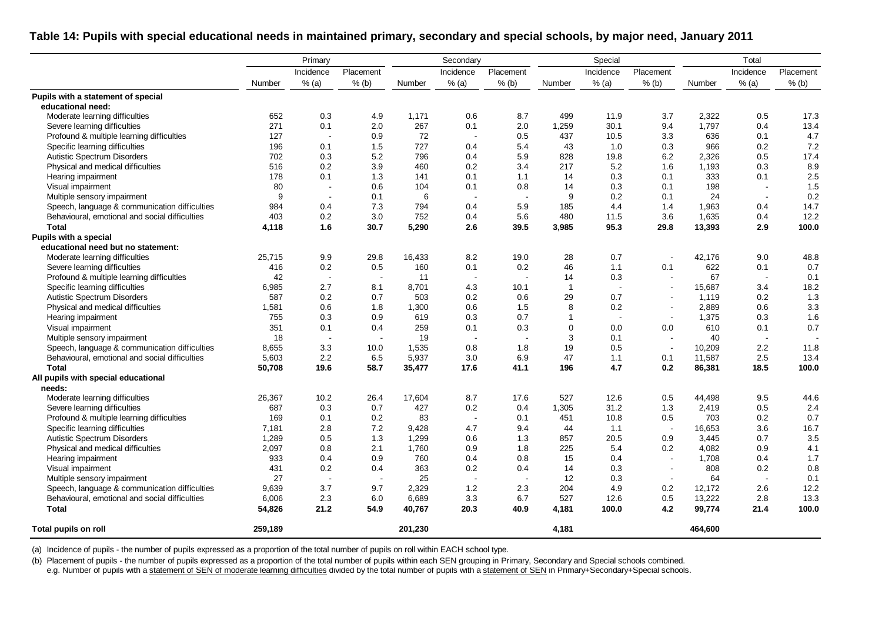|                                                |         | Primary                  |           |         | Secondary |                          |                | Special   |                          |         | Total                    |           |
|------------------------------------------------|---------|--------------------------|-----------|---------|-----------|--------------------------|----------------|-----------|--------------------------|---------|--------------------------|-----------|
|                                                |         | Incidence                | Placement |         | Incidence | Placement                |                | Incidence | Placement                |         | Incidence                | Placement |
|                                                | Number  | % (a)                    | $%$ (b)   | Number  | $%$ (a)   | $%$ (b)                  | Number         | % (a)     | $%$ (b)                  | Number  | $%$ (a)                  | $%$ (b)   |
| Pupils with a statement of special             |         |                          |           |         |           |                          |                |           |                          |         |                          |           |
| educational need:                              |         |                          |           |         |           |                          |                |           |                          |         |                          |           |
| Moderate learning difficulties                 | 652     | 0.3                      | 4.9       | 1,171   | 0.6       | 8.7                      | 499            | 11.9      | 3.7                      | 2,322   | 0.5                      | 17.3      |
| Severe learning difficulties                   | 271     | 0.1                      | 2.0       | 267     | 0.1       | 2.0                      | 1,259          | 30.1      | 9.4                      | 1,797   | 0.4                      | 13.4      |
| Profound & multiple learning difficulties      | 127     |                          | 0.9       | 72      |           | 0.5                      | 437            | 10.5      | 3.3                      | 636     | 0.1                      | 4.7       |
| Specific learning difficulties                 | 196     | 0.1                      | 1.5       | 727     | 0.4       | 5.4                      | 43             | 1.0       | 0.3                      | 966     | 0.2                      | 7.2       |
| <b>Autistic Spectrum Disorders</b>             | 702     | 0.3                      | 5.2       | 796     | 0.4       | 5.9                      | 828            | 19.8      | 6.2                      | 2,326   | 0.5                      | 17.4      |
| Physical and medical difficulties              | 516     | 0.2                      | 3.9       | 460     | 0.2       | 3.4                      | 217            | 5.2       | 1.6                      | 1,193   | 0.3                      | 8.9       |
| Hearing impairment                             | 178     | 0.1                      | 1.3       | 141     | 0.1       | 1.1                      | 14             | 0.3       | 0.1                      | 333     | 0.1                      | 2.5       |
| Visual impairment                              | 80      | $\blacksquare$           | 0.6       | 104     | 0.1       | 0.8                      | 14             | 0.3       | 0.1                      | 198     | $\sim$                   | 1.5       |
| Multiple sensory impairment                    | 9       | $\overline{\phantom{a}}$ | 0.1       | 6       | ÷         | $\overline{\phantom{a}}$ | 9              | 0.2       | 0.1                      | 24      | $\sim$                   | 0.2       |
| Speech, language & communication difficulties  | 984     | 0.4                      | 7.3       | 794     | 0.4       | 5.9                      | 185            | 4.4       | 1.4                      | 1,963   | 0.4                      | 14.7      |
| Behavioural, emotional and social difficulties | 403     | 0.2                      | 3.0       | 752     | 0.4       | 5.6                      | 480            | 11.5      | 3.6                      | 1,635   | 0.4                      | 12.2      |
| <b>Total</b>                                   | 4,118   | 1.6                      | 30.7      | 5,290   | 2.6       | 39.5                     | 3,985          | 95.3      | 29.8                     | 13,393  | 2.9                      | 100.0     |
| Pupils with a special                          |         |                          |           |         |           |                          |                |           |                          |         |                          |           |
| educational need but no statement:             |         |                          |           |         |           |                          |                |           |                          |         |                          |           |
| Moderate learning difficulties                 | 25,715  | 9.9                      | 29.8      | 16,433  | 8.2       | 19.0                     | 28             | 0.7       | $\overline{a}$           | 42.176  | 9.0                      | 48.8      |
| Severe learning difficulties                   | 416     | 0.2                      | 0.5       | 160     | 0.1       | 0.2                      | 46             | 1.1       | 0.1                      | 622     | 0.1                      | 0.7       |
| Profound & multiple learning difficulties      | 42      |                          |           | 11      |           | $\overline{\phantom{a}}$ | 14             | 0.3       |                          | 67      | $\blacksquare$           | 0.1       |
| Specific learning difficulties                 | 6,985   | 2.7                      | 8.1       | 8,701   | 4.3       | 10.1                     | $\overline{1}$ | $\sim$    | $\overline{\phantom{a}}$ | 15,687  | 3.4                      | 18.2      |
| <b>Autistic Spectrum Disorders</b>             | 587     | 0.2                      | 0.7       | 503     | 0.2       | 0.6                      | 29             | 0.7       |                          | 1,119   | 0.2                      | 1.3       |
| Physical and medical difficulties              | 1,581   | 0.6                      | 1.8       | 1,300   | 0.6       | 1.5                      | 8              | 0.2       | $\overline{\phantom{a}}$ | 2,889   | 0.6                      | 3.3       |
| Hearing impairment                             | 755     | 0.3                      | 0.9       | 619     | 0.3       | 0.7                      | $\mathbf{1}$   | ÷.        |                          | 1,375   | 0.3                      | 1.6       |
| Visual impairment                              | 351     | 0.1                      | 0.4       | 259     | 0.1       | 0.3                      | $\mathbf 0$    | 0.0       | 0.0                      | 610     | 0.1                      | 0.7       |
| Multiple sensory impairment                    | 18      |                          |           | 19      |           | $\overline{\phantom{a}}$ | 3              | 0.1       | $\overline{\phantom{a}}$ | 40      | $\overline{\phantom{a}}$ |           |
| Speech, language & communication difficulties  | 8,655   | 3.3                      | 10.0      | 1,535   | 0.8       | 1.8                      | 19             | 0.5       | $\overline{\phantom{a}}$ | 10,209  | 2.2                      | 11.8      |
| Behavioural, emotional and social difficulties | 5,603   | 2.2                      | 6.5       | 5,937   | 3.0       | 6.9                      | 47             | 1.1       | 0.1                      | 11,587  | 2.5                      | 13.4      |
| <b>Total</b>                                   | 50,708  | 19.6                     | 58.7      | 35,477  | 17.6      | 41.1                     | 196            | 4.7       | 0.2                      | 86,381  | 18.5                     | 100.0     |
| All pupils with special educational            |         |                          |           |         |           |                          |                |           |                          |         |                          |           |
| needs:                                         |         |                          |           |         |           |                          |                |           |                          |         |                          |           |
| Moderate learning difficulties                 | 26,367  | 10.2                     | 26.4      | 17,604  | 8.7       | 17.6                     | 527            | 12.6      | 0.5                      | 44,498  | 9.5                      | 44.6      |
| Severe learning difficulties                   | 687     | 0.3                      | 0.7       | 427     | 0.2       | 0.4                      | 1,305          | 31.2      | 1.3                      | 2,419   | 0.5                      | 2.4       |
| Profound & multiple learning difficulties      | 169     | 0.1                      | 0.2       | 83      |           | 0.1                      | 451            | 10.8      | 0.5                      | 703     | 0.2                      | 0.7       |
| Specific learning difficulties                 | 7,181   | 2.8                      | 7.2       | 9,428   | 4.7       | 9.4                      | 44             | 1.1       | $\overline{\phantom{a}}$ | 16,653  | 3.6                      | 16.7      |
| Autistic Spectrum Disorders                    | 1,289   | 0.5                      | 1.3       | 1,299   | 0.6       | 1.3                      | 857            | 20.5      | 0.9                      | 3,445   | 0.7                      | 3.5       |
| Physical and medical difficulties              | 2,097   | 0.8                      | 2.1       | 1,760   | 0.9       | 1.8                      | 225            | 5.4       | 0.2                      | 4,082   | 0.9                      | 4.1       |
| Hearing impairment                             | 933     | 0.4                      | 0.9       | 760     | 0.4       | 0.8                      | 15             | 0.4       | $\overline{\phantom{a}}$ | 1,708   | 0.4                      | 1.7       |
| Visual impairment                              | 431     | 0.2                      | 0.4       | 363     | 0.2       | 0.4                      | 14             | 0.3       | $\overline{\phantom{a}}$ | 808     | 0.2                      | 0.8       |
| Multiple sensory impairment                    | 27      | $\blacksquare$           |           | 25      |           | $\overline{\phantom{a}}$ | 12             | 0.3       |                          | 64      | $\overline{\phantom{a}}$ | 0.1       |
| Speech, language & communication difficulties  | 9,639   | 3.7                      | 9.7       | 2,329   | $1.2$     | 2.3                      | 204            | 4.9       | 0.2                      | 12,172  | 2.6                      | 12.2      |
| Behavioural, emotional and social difficulties | 6,006   | 2.3                      | 6.0       | 6,689   | 3.3       | 6.7                      | 527            | 12.6      | 0.5                      | 13,222  | 2.8                      | 13.3      |
| <b>Total</b>                                   | 54,826  | 21.2                     | 54.9      | 40,767  | 20.3      | 40.9                     | 4,181          | 100.0     | 4.2                      | 99,774  | 21.4                     | 100.0     |
|                                                |         |                          |           |         |           |                          |                |           |                          |         |                          |           |
| Total pupils on roll                           | 259,189 |                          |           | 201,230 |           |                          | 4,181          |           |                          | 464,600 |                          |           |

**Table 14: Pupils with special educational needs in maintained primary, secondary and special schools, by major need, January 2011** 

(a) Incidence of pupils - the number of pupils expressed as a proportion of the total number of pupils on roll within EACH school type.

<span id="page-13-0"></span>(b) Placement of pupils - the number of pupils expressed as a proportion of the total number of pupils within each SEN grouping in Primary, Secondary and Special schools combined. e.g. Number of pupils with a statement of SEN of moderate learning difficulties divided by the total number of pupils with a statement of SEN in Primary+Secondary+Special schools.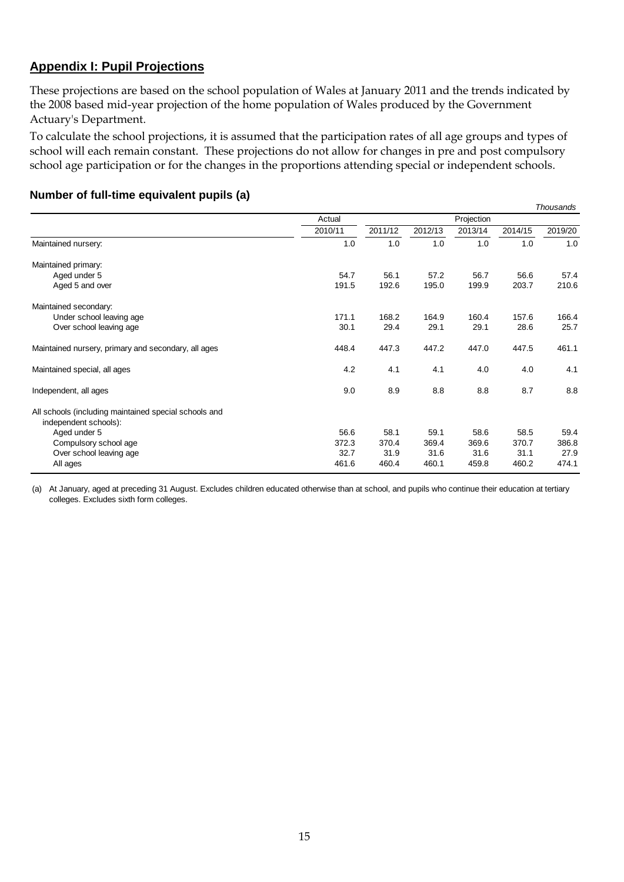# <span id="page-14-0"></span>**Appendix I: Pupil Projections**

These projections are based on the school population of Wales at January 2011 and the trends indicated by the 2008 based mid-year projection of the home population of Wales produced by the Government Actuary's Department.

To calculate the school projections, it is assumed that the participation rates of all age groups and types of school will each remain constant. These projections do not allow for changes in pre and post compulsory school age participation or for the changes in the proportions attending special or independent schools.

#### **Number of full-time equivalent pupils (a)**

|                                                                                |         |         |         |            |         | <b>Thousands</b> |
|--------------------------------------------------------------------------------|---------|---------|---------|------------|---------|------------------|
|                                                                                | Actual  |         |         | Projection |         |                  |
|                                                                                | 2010/11 | 2011/12 | 2012/13 | 2013/14    | 2014/15 | 2019/20          |
| Maintained nursery:                                                            | 1.0     | 1.0     | 1.0     | 1.0        | 1.0     | 1.0              |
| Maintained primary:                                                            |         |         |         |            |         |                  |
| Aged under 5                                                                   | 54.7    | 56.1    | 57.2    | 56.7       | 56.6    | 57.4             |
| Aged 5 and over                                                                | 191.5   | 192.6   | 195.0   | 199.9      | 203.7   | 210.6            |
| Maintained secondary:                                                          |         |         |         |            |         |                  |
| Under school leaving age                                                       | 171.1   | 168.2   | 164.9   | 160.4      | 157.6   | 166.4            |
| Over school leaving age                                                        | 30.1    | 29.4    | 29.1    | 29.1       | 28.6    | 25.7             |
| Maintained nursery, primary and secondary, all ages                            | 448.4   | 447.3   | 447.2   | 447.0      | 447.5   | 461.1            |
| Maintained special, all ages                                                   | 4.2     | 4.1     | 4.1     | 4.0        | 4.0     | 4.1              |
| Independent, all ages                                                          | 9.0     | 8.9     | 8.8     | 8.8        | 8.7     | 8.8              |
| All schools (including maintained special schools and<br>independent schools): |         |         |         |            |         |                  |
| Aged under 5                                                                   | 56.6    | 58.1    | 59.1    | 58.6       | 58.5    | 59.4             |
| Compulsory school age                                                          | 372.3   | 370.4   | 369.4   | 369.6      | 370.7   | 386.8            |
| Over school leaving age                                                        | 32.7    | 31.9    | 31.6    | 31.6       | 31.1    | 27.9             |
| All ages                                                                       | 461.6   | 460.4   | 460.1   | 459.8      | 460.2   | 474.1            |
|                                                                                |         |         |         |            |         |                  |

(a) At January, aged at preceding 31 August. Excludes children educated otherwise than at school, and pupils who continue their education at tertiary colleges. Excludes sixth form colleges.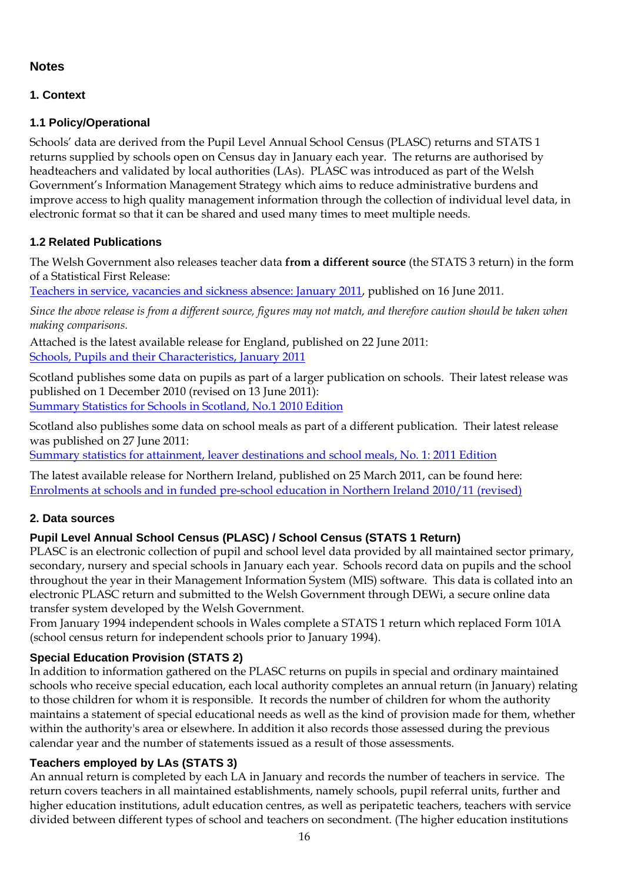# <span id="page-15-0"></span>**Notes**

# **1. Context**

# **1.1 Policy/Operational**

Schools' data are derived from the Pupil Level Annual School Census (PLASC) returns and STATS 1 returns supplied by schools open on Census day in January each year. The returns are authorised by headteachers and validated by local authorities (LAs). PLASC was introduced as part of the Welsh Government's Information Management Strategy which aims to reduce administrative burdens and improve access to high quality management information through the collection of individual level data, in electronic format so that it can be shared and used many times to meet multiple needs.

# **1.2 Related Publications**

The Welsh Government also releases teacher data **from a different source** (the STATS 3 return) in the form of a Statistical First Release:

[Teachers in service, vacancies and sickness absence: January 2011,](http://wales.gov.uk/topics/statistics/headlines/schools2011/110616/?lang=en) published on 16 June 2011.

*Since the above release is from a different source, figures may not match, and therefore caution should be taken when making comparisons.* 

Attached is the latest available release for England, published on 22 June 2011: [Schools, Pupils and their Characteristics, January 2011](http://www.education.gov.uk/rsgateway/DB/SFR/s001012/index.shtml)

Scotland publishes some data on pupils as part of a larger publication on schools. Their latest release was published on 1 December 2010 (revised on 13 June 2011): [Summary Statistics for Schools in Scotland, No.1 2010 Edition](http://www.scotland.gov.uk/Publications/2011/03/04154230/0)

Scotland also publishes some data on school meals as part of a different publication. Their latest release was published on 27 June 2011:

[Summary statistics for attainment, leaver destinations and school meals, No. 1: 2011 Edition](http://www.scotland.gov.uk/Publications/2011/06/24142721/0)

The latest available release for Northern Ireland, published on 25 March 2011, can be found here: [Enrolments at schools and in funded pre-school education in Northern Ireland 2010/11 \(revised\)](http://www.deni.gov.uk/index/32-statisticsandresearch_pg/32_statistical_publications-indexofstatisticalpublications_pg/32_statistical_publications_pressreleases_pg/32_statisticalpublications_enrolmentspressreleases_pg.htm)

# **2. Data sources**

# **Pupil Level Annual School Census (PLASC) / School Census (STATS 1 Return)**

PLASC is an electronic collection of pupil and school level data provided by all maintained sector primary, secondary, nursery and special schools in January each year. Schools record data on pupils and the school throughout the year in their Management Information System (MIS) software. This data is collated into an electronic PLASC return and submitted to the Welsh Government through DEWi, a secure online data transfer system developed by the Welsh Government.

From January 1994 independent schools in Wales complete a STATS 1 return which replaced Form 101A (school census return for independent schools prior to January 1994).

# **Special Education Provision (STATS 2)**

In addition to information gathered on the PLASC returns on pupils in special and ordinary maintained schools who receive special education, each local authority completes an annual return (in January) relating to those children for whom it is responsible. It records the number of children for whom the authority maintains a statement of special educational needs as well as the kind of provision made for them, whether within the authority's area or elsewhere. In addition it also records those assessed during the previous calendar year and the number of statements issued as a result of those assessments.

# **Teachers employed by LAs (STATS 3)**

An annual return is completed by each LA in January and records the number of teachers in service. The return covers teachers in all maintained establishments, namely schools, pupil referral units, further and higher education institutions, adult education centres, as well as peripatetic teachers, teachers with service divided between different types of school and teachers on secondment. (The higher education institutions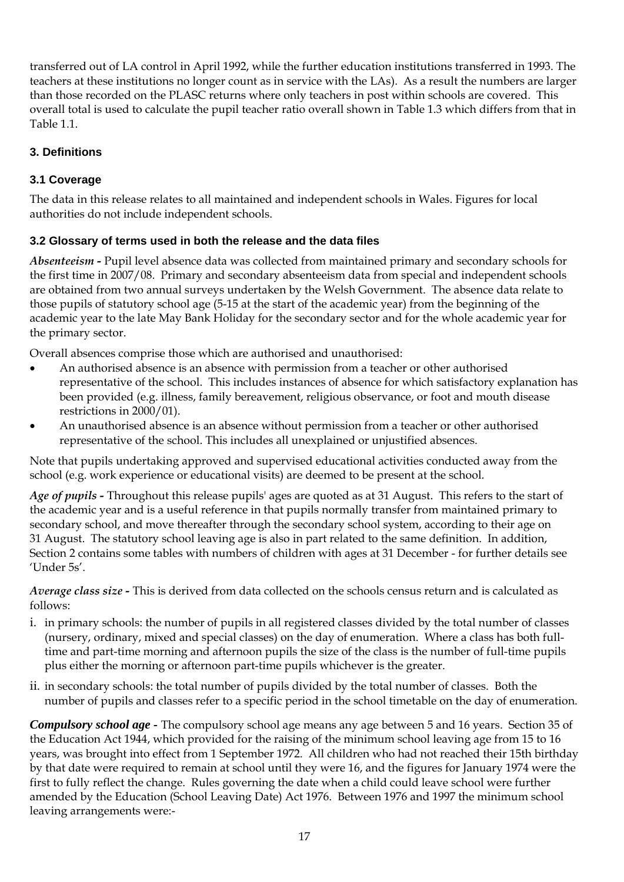transferred out of LA control in April 1992, while the further education institutions transferred in 1993. The teachers at these institutions no longer count as in service with the LAs). As a result the numbers are larger than those recorded on the PLASC returns where only teachers in post within schools are covered. This overall total is used to calculate the pupil teacher ratio overall shown in Table 1.3 which differs from that in Table 1.1.

# **3. Definitions**

# **3.1 Coverage**

The data in this release relates to all maintained and independent schools in Wales. Figures for local authorities do not include independent schools.

# **3.2 Glossary of terms used in both the release and the data files**

*Absenteeism -* Pupil level absence data was collected from maintained primary and secondary schools for the first time in 2007/08. Primary and secondary absenteeism data from special and independent schools are obtained from two annual surveys undertaken by the Welsh Government. The absence data relate to those pupils of statutory school age (5-15 at the start of the academic year) from the beginning of the academic year to the late May Bank Holiday for the secondary sector and for the whole academic year for the primary sector.

Overall absences comprise those which are authorised and unauthorised:

- An authorised absence is an absence with permission from a teacher or other authorised representative of the school. This includes instances of absence for which satisfactory explanation has been provided (e.g. illness, family bereavement, religious observance, or foot and mouth disease restrictions in 2000/01).
- An unauthorised absence is an absence without permission from a teacher or other authorised representative of the school. This includes all unexplained or unjustified absences.

Note that pupils undertaking approved and supervised educational activities conducted away from the school (e.g. work experience or educational visits) are deemed to be present at the school.

*Age of pupils -* Throughout this release pupils' ages are quoted as at 31 August. This refers to the start of the academic year and is a useful reference in that pupils normally transfer from maintained primary to secondary school, and move thereafter through the secondary school system, according to their age on 31 August. The statutory school leaving age is also in part related to the same definition. In addition, Section 2 contains some tables with numbers of children with ages at 31 December - for further details see 'Under 5s'.

*Average class size -* This is derived from data collected on the schools census return and is calculated as follows:

- i. in primary schools: the number of pupils in all registered classes divided by the total number of classes (nursery, ordinary, mixed and special classes) on the day of enumeration. Where a class has both fulltime and part-time morning and afternoon pupils the size of the class is the number of full-time pupils plus either the morning or afternoon part-time pupils whichever is the greater.
- ii. in secondary schools: the total number of pupils divided by the total number of classes. Both the number of pupils and classes refer to a specific period in the school timetable on the day of enumeration.

*Compulsory school age -* The compulsory school age means any age between 5 and 16 years. Section 35 of the Education Act 1944, which provided for the raising of the minimum school leaving age from 15 to 16 years, was brought into effect from 1 September 1972. All children who had not reached their 15th birthday by that date were required to remain at school until they were 16, and the figures for January 1974 were the first to fully reflect the change. Rules governing the date when a child could leave school were further amended by the Education (School Leaving Date) Act 1976. Between 1976 and 1997 the minimum school leaving arrangements were:-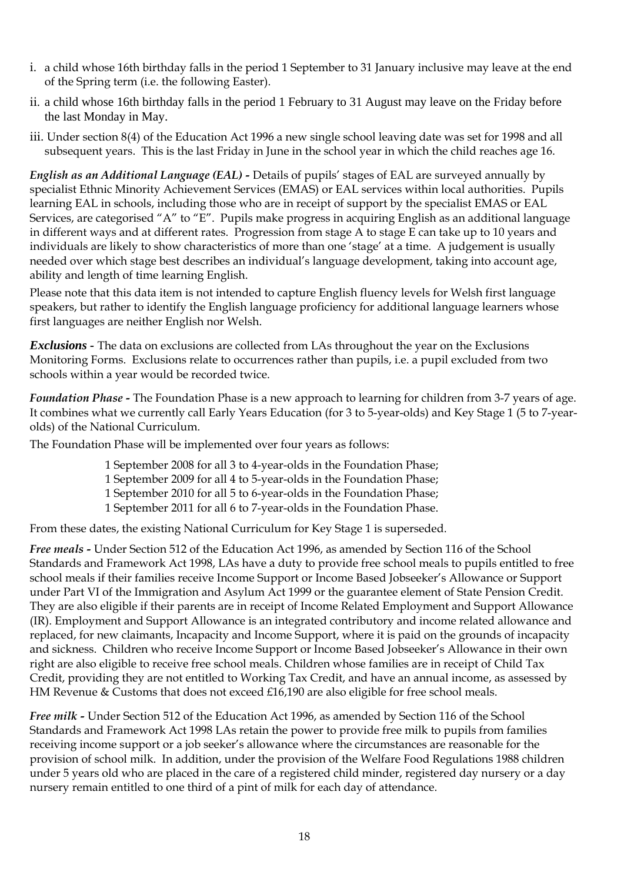- i. a child whose 16th birthday falls in the period 1 September to 31 January inclusive may leave at the end of the Spring term (i.e. the following Easter).
- ii. a child whose 16th birthday falls in the period 1 February to 31 August may leave on the Friday before the last Monday in May.
- iii. Under section 8(4) of the Education Act 1996 a new single school leaving date was set for 1998 and all subsequent years. This is the last Friday in June in the school year in which the child reaches age 16.

*English as an Additional Language (EAL) -* Details of pupils' stages of EAL are surveyed annually by specialist Ethnic Minority Achievement Services (EMAS) or EAL services within local authorities. Pupils learning EAL in schools, including those who are in receipt of support by the specialist EMAS or EAL Services, are categorised "A" to "E". Pupils make progress in acquiring English as an additional language in different ways and at different rates. Progression from stage A to stage E can take up to 10 years and individuals are likely to show characteristics of more than one 'stage' at a time. A judgement is usually needed over which stage best describes an individual's language development, taking into account age, ability and length of time learning English.

Please note that this data item is not intended to capture English fluency levels for Welsh first language speakers, but rather to identify the English language proficiency for additional language learners whose first languages are neither English nor Welsh.

*Exclusions -* The data on exclusions are collected from LAs throughout the year on the Exclusions Monitoring Forms. Exclusions relate to occurrences rather than pupils, i.e. a pupil excluded from two schools within a year would be recorded twice.

*Foundation Phase -* The Foundation Phase is a new approach to learning for children from 3-7 years of age. It combines what we currently call Early Years Education (for 3 to 5-year-olds) and Key Stage 1 (5 to 7-yearolds) of the National Curriculum.

The Foundation Phase will be implemented over four years as follows:

- 1 September 2008 for all 3 to 4-year-olds in the Foundation Phase;
- 1 September 2009 for all 4 to 5-year-olds in the Foundation Phase;
- 1 September 2010 for all 5 to 6-year-olds in the Foundation Phase;
- 1 September 2011 for all 6 to 7-year-olds in the Foundation Phase.

From these dates, the existing National Curriculum for Key Stage 1 is superseded.

*Free meals -* Under Section 512 of the Education Act 1996, as amended by Section 116 of the School Standards and Framework Act 1998, LAs have a duty to provide free school meals to pupils entitled to free school meals if their families receive Income Support or Income Based Jobseeker's Allowance or Support under Part VI of the Immigration and Asylum Act 1999 or the guarantee element of State Pension Credit. They are also eligible if their parents are in receipt of Income Related Employment and Support Allowance (IR). Employment and Support Allowance is an integrated contributory and income related allowance and replaced, for new claimants, Incapacity and Income Support, where it is paid on the grounds of incapacity and sickness. Children who receive Income Support or Income Based Jobseeker's Allowance in their own right are also eligible to receive free school meals. Children whose families are in receipt of Child Tax Credit, providing they are not entitled to Working Tax Credit, and have an annual income, as assessed by HM Revenue & Customs that does not exceed £16,190 are also eligible for free school meals.

*Free milk -* Under Section 512 of the Education Act 1996, as amended by Section 116 of the School Standards and Framework Act 1998 LAs retain the power to provide free milk to pupils from families receiving income support or a job seeker's allowance where the circumstances are reasonable for the provision of school milk. In addition, under the provision of the Welfare Food Regulations 1988 children under 5 years old who are placed in the care of a registered child minder, registered day nursery or a day nursery remain entitled to one third of a pint of milk for each day of attendance.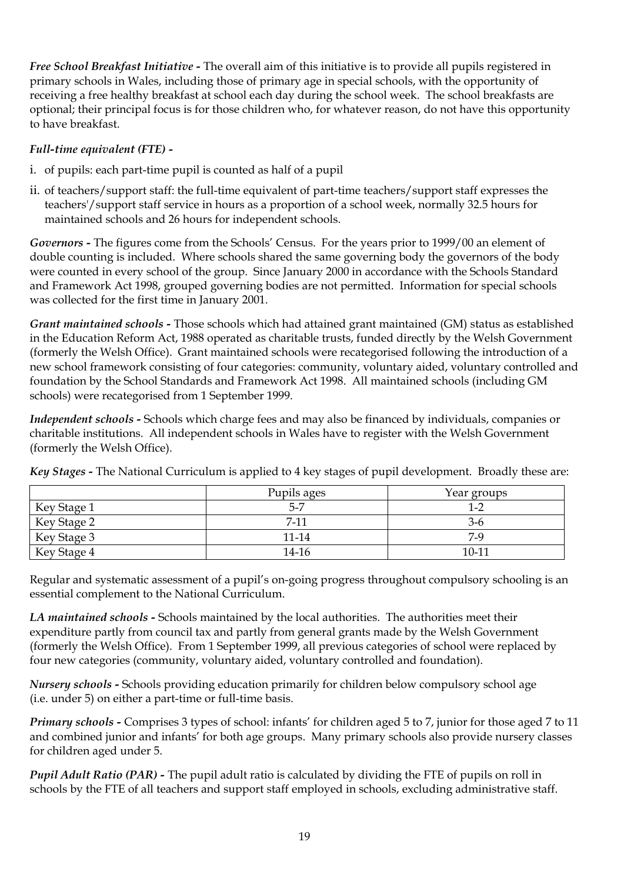*Free School Breakfast Initiative -* The overall aim of this initiative is to provide all pupils registered in primary schools in Wales, including those of primary age in special schools, with the opportunity of receiving a free healthy breakfast at school each day during the school week. The school breakfasts are optional; their principal focus is for those children who, for whatever reason, do not have this opportunity to have breakfast.

### *Full-time equivalent (FTE) -*

- i. of pupils: each part-time pupil is counted as half of a pupil
- ii. of teachers/support staff: the full-time equivalent of part-time teachers/support staff expresses the teachers'/support staff service in hours as a proportion of a school week, normally 32.5 hours for maintained schools and 26 hours for independent schools.

*Governors -* The figures come from the Schools' Census. For the years prior to 1999/00 an element of double counting is included. Where schools shared the same governing body the governors of the body were counted in every school of the group. Since January 2000 in accordance with the Schools Standard and Framework Act 1998, grouped governing bodies are not permitted. Information for special schools was collected for the first time in January 2001.

*Grant maintained schools -* Those schools which had attained grant maintained (GM) status as established in the Education Reform Act, 1988 operated as charitable trusts, funded directly by the Welsh Government (formerly the Welsh Office). Grant maintained schools were recategorised following the introduction of a new school framework consisting of four categories: community, voluntary aided, voluntary controlled and foundation by the School Standards and Framework Act 1998. All maintained schools (including GM schools) were recategorised from 1 September 1999.

*Independent schools -* Schools which charge fees and may also be financed by individuals, companies or charitable institutions. All independent schools in Wales have to register with the Welsh Government (formerly the Welsh Office).

|             | Pupils ages | Year groups |
|-------------|-------------|-------------|
| Key Stage 1 | 5-7         | 1-2         |
| Key Stage 2 | $7-11$      | 3-6         |
| Key Stage 3 | $11 - 14$   | 7-9         |
| Key Stage 4 | 14-16       | $10 - 11$   |

*Key Stages -* The National Curriculum is applied to 4 key stages of pupil development. Broadly these are:

Regular and systematic assessment of a pupil's on-going progress throughout compulsory schooling is an essential complement to the National Curriculum.

*LA maintained schools -* Schools maintained by the local authorities. The authorities meet their expenditure partly from council tax and partly from general grants made by the Welsh Government (formerly the Welsh Office). From 1 September 1999, all previous categories of school were replaced by four new categories (community, voluntary aided, voluntary controlled and foundation).

*Nursery schools -* Schools providing education primarily for children below compulsory school age (i.e. under 5) on either a part-time or full-time basis.

*Primary schools -* Comprises 3 types of school: infants' for children aged 5 to 7, junior for those aged 7 to 11 and combined junior and infants' for both age groups. Many primary schools also provide nursery classes for children aged under 5.

*Pupil Adult Ratio (PAR) -* The pupil adult ratio is calculated by dividing the FTE of pupils on roll in schools by the FTE of all teachers and support staff employed in schools, excluding administrative staff.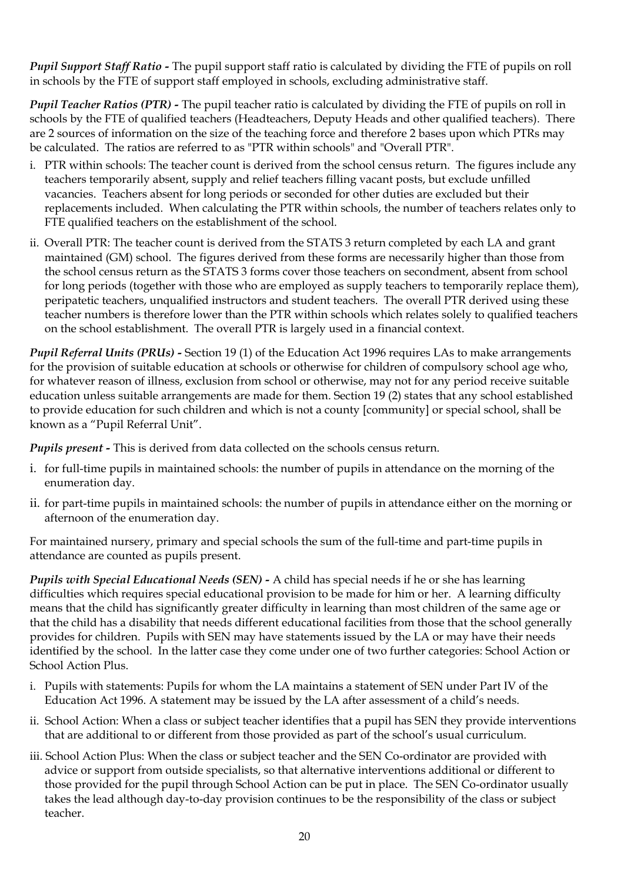*Pupil Support Staff Ratio -* The pupil support staff ratio is calculated by dividing the FTE of pupils on roll in schools by the FTE of support staff employed in schools, excluding administrative staff.

*Pupil Teacher Ratios (PTR) -* The pupil teacher ratio is calculated by dividing the FTE of pupils on roll in schools by the FTE of qualified teachers (Headteachers, Deputy Heads and other qualified teachers). There are 2 sources of information on the size of the teaching force and therefore 2 bases upon which PTRs may be calculated. The ratios are referred to as "PTR within schools" and "Overall PTR".

- i. PTR within schools: The teacher count is derived from the school census return. The figures include any teachers temporarily absent, supply and relief teachers filling vacant posts, but exclude unfilled vacancies. Teachers absent for long periods or seconded for other duties are excluded but their replacements included. When calculating the PTR within schools, the number of teachers relates only to FTE qualified teachers on the establishment of the school.
- ii. Overall PTR: The teacher count is derived from the STATS 3 return completed by each LA and grant maintained (GM) school. The figures derived from these forms are necessarily higher than those from the school census return as the STATS 3 forms cover those teachers on secondment, absent from school for long periods (together with those who are employed as supply teachers to temporarily replace them), peripatetic teachers, unqualified instructors and student teachers. The overall PTR derived using these teacher numbers is therefore lower than the PTR within schools which relates solely to qualified teachers on the school establishment. The overall PTR is largely used in a financial context.

*Pupil Referral Units (PRUs) -* Section 19 (1) of the Education Act 1996 requires LAs to make arrangements for the provision of suitable education at schools or otherwise for children of compulsory school age who, for whatever reason of illness, exclusion from school or otherwise, may not for any period receive suitable education unless suitable arrangements are made for them. Section 19 (2) states that any school established to provide education for such children and which is not a county [community] or special school, shall be known as a "Pupil Referral Unit".

*Pupils present -* This is derived from data collected on the schools census return.

- i. for full-time pupils in maintained schools: the number of pupils in attendance on the morning of the enumeration day.
- ii. for part-time pupils in maintained schools: the number of pupils in attendance either on the morning or afternoon of the enumeration day.

For maintained nursery, primary and special schools the sum of the full-time and part-time pupils in attendance are counted as pupils present.

*Pupils with Special Educational Needs (SEN) -* A child has special needs if he or she has learning difficulties which requires special educational provision to be made for him or her. A learning difficulty means that the child has significantly greater difficulty in learning than most children of the same age or that the child has a disability that needs different educational facilities from those that the school generally provides for children. Pupils with SEN may have statements issued by the LA or may have their needs identified by the school. In the latter case they come under one of two further categories: School Action or School Action Plus.

- i. Pupils with statements: Pupils for whom the LA maintains a statement of SEN under Part IV of the Education Act 1996. A statement may be issued by the LA after assessment of a child's needs.
- ii. School Action: When a class or subject teacher identifies that a pupil has SEN they provide interventions that are additional to or different from those provided as part of the school's usual curriculum.
- iii. School Action Plus: When the class or subject teacher and the SEN Co-ordinator are provided with advice or support from outside specialists, so that alternative interventions additional or different to those provided for the pupil through School Action can be put in place. The SEN Co-ordinator usually takes the lead although day-to-day provision continues to be the responsibility of the class or subject teacher.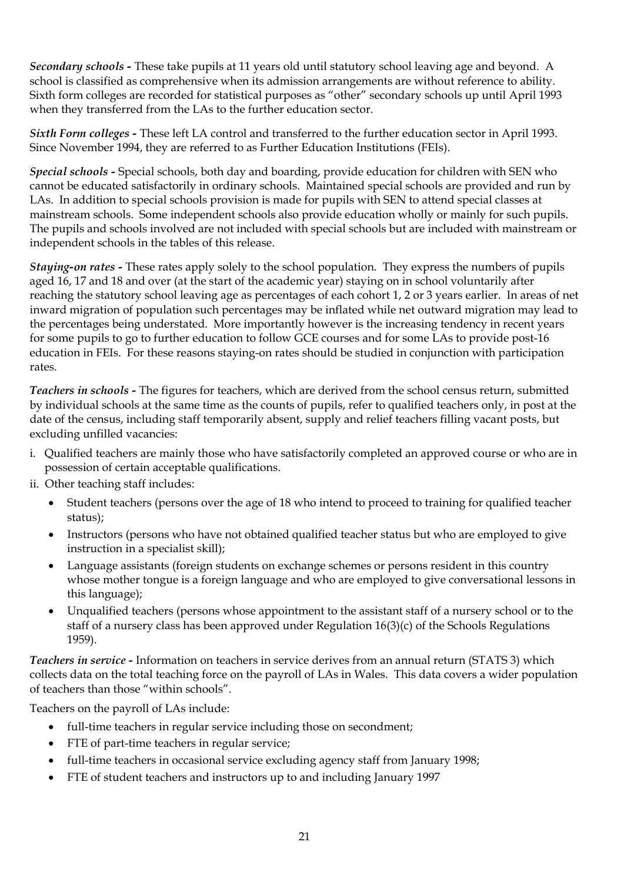*Secondary schools -* These take pupils at 11 years old until statutory school leaving age and beyond. A school is classified as comprehensive when its admission arrangements are without reference to ability. Sixth form colleges are recorded for statistical purposes as "other" secondary schools up until April 1993 when they transferred from the LAs to the further education sector.

*Sixth Form colleges -* These left LA control and transferred to the further education sector in April 1993. Since November 1994, they are referred to as Further Education Institutions (FEIs).

*Special schools -* Special schools, both day and boarding, provide education for children with SEN who cannot be educated satisfactorily in ordinary schools. Maintained special schools are provided and run by LAs. In addition to special schools provision is made for pupils with SEN to attend special classes at mainstream schools. Some independent schools also provide education wholly or mainly for such pupils. The pupils and schools involved are not included with special schools but are included with mainstream or independent schools in the tables of this release.

*Staying-on rates -* These rates apply solely to the school population. They express the numbers of pupils aged 16, 17 and 18 and over (at the start of the academic year) staying on in school voluntarily after reaching the statutory school leaving age as percentages of each cohort 1, 2 or 3 years earlier. In areas of net inward migration of population such percentages may be inflated while net outward migration may lead to the percentages being understated. More importantly however is the increasing tendency in recent years for some pupils to go to further education to follow GCE courses and for some LAs to provide post-16 education in FEIs. For these reasons staying-on rates should be studied in conjunction with participation rates.

*Teachers in schools -* The figures for teachers, which are derived from the school census return, submitted by individual schools at the same time as the counts of pupils, refer to qualified teachers only, in post at the date of the census, including staff temporarily absent, supply and relief teachers filling vacant posts, but excluding unfilled vacancies:

- i. Qualified teachers are mainly those who have satisfactorily completed an approved course or who are in possession of certain acceptable qualifications.
- ii. Other teaching staff includes:
	- Student teachers (persons over the age of 18 who intend to proceed to training for qualified teacher status);
	- Instructors (persons who have not obtained qualified teacher status but who are employed to give instruction in a specialist skill);
	- Language assistants (foreign students on exchange schemes or persons resident in this country whose mother tongue is a foreign language and who are employed to give conversational lessons in this language);
	- Unqualified teachers (persons whose appointment to the assistant staff of a nursery school or to the staff of a nursery class has been approved under Regulation 16(3)(c) of the Schools Regulations 1959).

*Teachers in service -* Information on teachers in service derives from an annual return (STATS 3) which collects data on the total teaching force on the payroll of LAs in Wales. This data covers a wider population of teachers than those "within schools".

Teachers on the payroll of LAs include:

- full-time teachers in regular service including those on secondment;
- FTE of part-time teachers in regular service;
- full-time teachers in occasional service excluding agency staff from January 1998;
- FTE of student teachers and instructors up to and including January 1997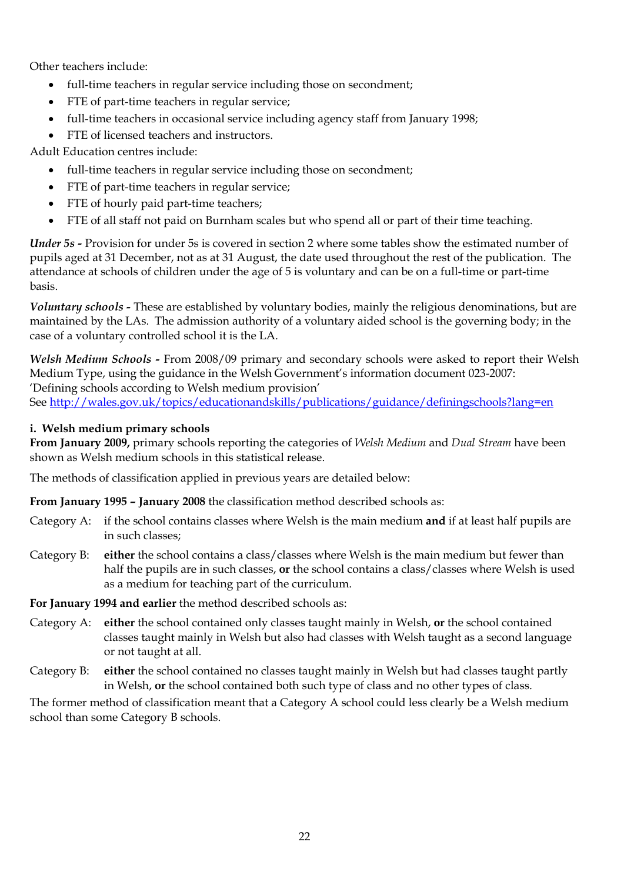Other teachers include:

- full-time teachers in regular service including those on secondment;
- FTE of part-time teachers in regular service;
- full-time teachers in occasional service including agency staff from January 1998;
- FTE of licensed teachers and instructors.

Adult Education centres include:

- full-time teachers in regular service including those on secondment;
- FTE of part-time teachers in regular service;
- FTE of hourly paid part-time teachers;
- FTE of all staff not paid on Burnham scales but who spend all or part of their time teaching.

*Under 5s -* Provision for under 5s is covered in section 2 where some tables show the estimated number of pupils aged at 31 December, not as at 31 August, the date used throughout the rest of the publication. The attendance at schools of children under the age of 5 is voluntary and can be on a full-time or part-time basis.

*Voluntary schools -* These are established by voluntary bodies, mainly the religious denominations, but are maintained by the LAs. The admission authority of a voluntary aided school is the governing body; in the case of a voluntary controlled school it is the LA.

*Welsh Medium Schools -* From 2008/09 primary and secondary schools were asked to report their Welsh Medium Type, using the guidance in the Welsh Government's information document 023-2007: 'Defining schools according to Welsh medium provision' See<http://wales.gov.uk/topics/educationandskills/publications/guidance/definingschools?lang=en>

#### **i. Welsh medium primary schools**

**From January 2009,** primary schools reporting the categories of *Welsh Medium* and *Dual Stream* have been shown as Welsh medium schools in this statistical release.

The methods of classification applied in previous years are detailed below:

**From January 1995 – January 2008** the classification method described schools as:

- Category A: if the school contains classes where Welsh is the main medium **and** if at least half pupils are in such classes;
- Category B: **either** the school contains a class/classes where Welsh is the main medium but fewer than half the pupils are in such classes, **or** the school contains a class/classes where Welsh is used as a medium for teaching part of the curriculum.

**For January 1994 and earlier** the method described schools as:

- Category A: **either** the school contained only classes taught mainly in Welsh, **or** the school contained classes taught mainly in Welsh but also had classes with Welsh taught as a second language or not taught at all.
- Category B: **either** the school contained no classes taught mainly in Welsh but had classes taught partly in Welsh, **or** the school contained both such type of class and no other types of class.

The former method of classification meant that a Category A school could less clearly be a Welsh medium school than some Category B schools.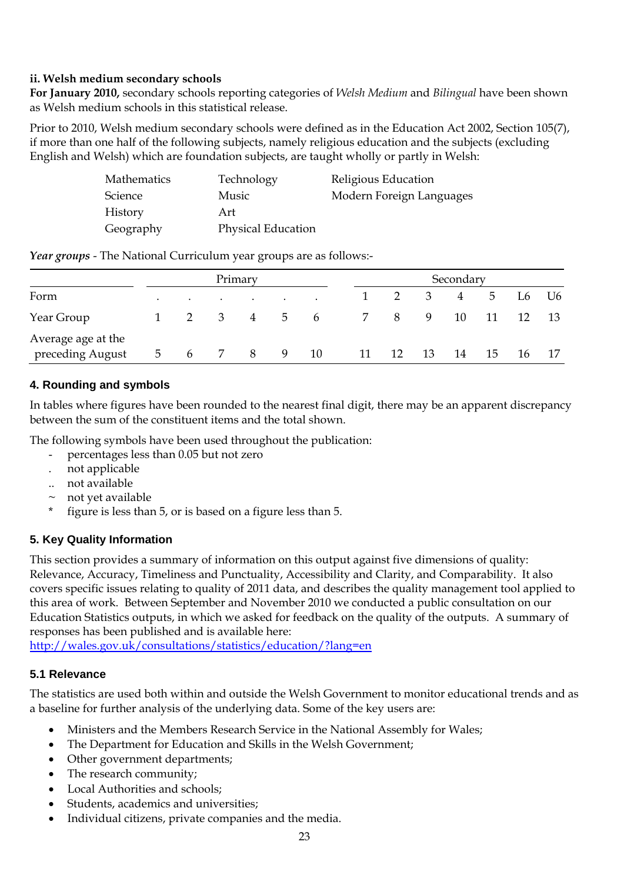### <span id="page-22-0"></span>**ii. Welsh medium secondary schools**

**For January 2010,** secondary schools reporting categories of *Welsh Medium* and *Bilingual* have been shown as Welsh medium schools in this statistical release.

Prior to 2010, Welsh medium secondary schools were defined as in the Education Act 2002, Section 105(7), if more than one half of the following subjects, namely religious education and the subjects (excluding English and Welsh) which are foundation subjects, are taught wholly or partly in Welsh:

| Mathematics | Technology         | Religious Education      |
|-------------|--------------------|--------------------------|
| Science     | Music              | Modern Foreign Languages |
| History     | Art                |                          |
| Geography   | Physical Education |                          |

|                                        |           |           |   | Primary   |                      |                |    |    |    | Secondary |    |    |                |
|----------------------------------------|-----------|-----------|---|-----------|----------------------|----------------|----|----|----|-----------|----|----|----------------|
| Form                                   | $\bullet$ | $\bullet$ |   | $\bullet$ | $\ddot{\phantom{1}}$ |                |    |    | 3  | 4         | 5  | L6 | U <sub>6</sub> |
| Year Group                             |           |           | 3 | 4         | 5                    | 6 <sup>6</sup> | 7  | 8  | 9  | 10        | 11 |    |                |
| Average age at the<br>preceding August | $\circ$   | 6         |   | 8         | 9                    | 10             | 11 | 12 | 13 | 14        | 15 | 16 |                |

*Year groups* - The National Curriculum year groups are as follows:-

#### **4. Rounding and symbols**

In tables where figures have been rounded to the nearest final digit, there may be an apparent discrepancy between the sum of the constituent items and the total shown.

The following symbols have been used throughout the publication:

- percentages less than 0.05 but not zero
- . not applicable
- .. not available
- $\sim$  not yet available
- figure is less than 5, or is based on a figure less than 5.

#### **5. Key Quality Information**

This section provides a summary of information on this output against five dimensions of quality: Relevance, Accuracy, Timeliness and Punctuality, Accessibility and Clarity, and Comparability. It also covers specific issues relating to quality of 2011 data, and describes the quality management tool applied to this area of work. Between September and November 2010 we conducted a public consultation on our Education Statistics outputs, in which we asked for feedback on the quality of the outputs. A summary of responses has been published and is available here:

<http://wales.gov.uk/consultations/statistics/education/?lang=en>

#### **5.1 Relevance**

The statistics are used both within and outside the Welsh Government to monitor educational trends and as a baseline for further analysis of the underlying data. Some of the key users are:

- Ministers and the Members Research Service in the National Assembly for Wales;
- The Department for Education and Skills in the Welsh Government;
- Other government departments;
- The research community:
- Local Authorities and schools:
- Students, academics and universities;
- Individual citizens, private companies and the media.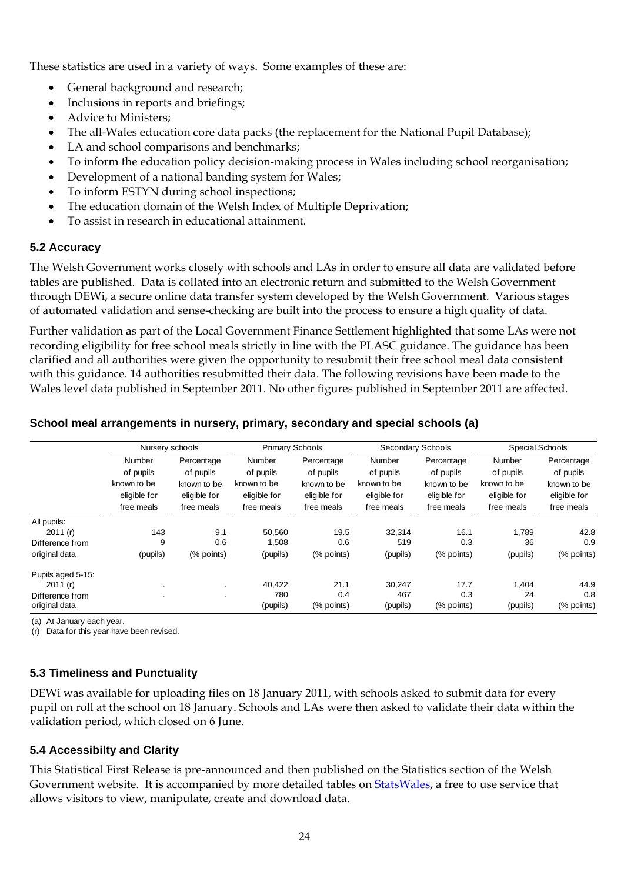These statistics are used in a variety of ways. Some examples of these are:

- General background and research;
- Inclusions in reports and briefings;
- Advice to Ministers;
- The all-Wales education core data packs (the replacement for the National Pupil Database);
- LA and school comparisons and benchmarks;
- To inform the education policy decision-making process in Wales including school reorganisation;
- Development of a national banding system for Wales;
- To inform ESTYN during school inspections;
- The education domain of the Welsh Index of Multiple Deprivation;
- To assist in research in educational attainment.

# **5.2 Accuracy**

The Welsh Government works closely with schools and LAs in order to ensure all data are validated before tables are published. Data is collated into an electronic return and submitted to the Welsh Government through DEWi, a secure online data transfer system developed by the Welsh Government. Various stages of automated validation and sense-checking are built into the process to ensure a high quality of data.

Further validation as part of the Local Government Finance Settlement highlighted that some LAs were not recording eligibility for free school meals strictly in line with the PLASC guidance. The guidance has been clarified and all authorities were given the opportunity to resubmit their free school meal data consistent with this guidance. 14 authorities resubmitted their data. The following revisions have been made to the Wales level data published in September 2011. No other figures published in September 2011 are affected.

#### **School meal arrangements in nursery, primary, secondary and special schools (a)**

|                                  | Nursery schools                                |                            | <b>Primary Schools</b>     |                            | Secondary Schools          |                            | Special Schools            |                            |  |
|----------------------------------|------------------------------------------------|----------------------------|----------------------------|----------------------------|----------------------------|----------------------------|----------------------------|----------------------------|--|
|                                  | Percentage<br>Number<br>of pupils<br>of pupils |                            | Number<br>of pupils        | Percentage<br>of pupils    | Number<br>of pupils        | Percentage<br>of pupils    | Number<br>of pupils        | Percentage<br>of pupils    |  |
|                                  | known to be                                    | known to be                | known to be                | known to be                | known to be                | known to be                | known to be                | known to be                |  |
|                                  | eligible for<br>free meals                     | eligible for<br>free meals | eligible for<br>free meals | eligible for<br>free meals | eligible for<br>free meals | eligible for<br>free meals | eligible for<br>free meals | eligible for<br>free meals |  |
| All pupils:                      |                                                |                            |                            |                            |                            |                            |                            |                            |  |
| 2011(r)                          | 143                                            | 9.1                        | 50.560                     | 19.5                       | 32,314                     | 16.1                       | 1,789                      | 42.8                       |  |
| Difference from                  | 9                                              | 0.6                        | 1,508                      | 0.6                        | 519                        | 0.3                        | 36                         | 0.9                        |  |
| original data                    | (pupils)                                       | (% points)                 | (pupils)                   | (% points)                 | (pupils)                   | (% points)                 | (pupils)                   | (% points)                 |  |
| Pupils aged 5-15:                |                                                |                            |                            |                            |                            |                            |                            |                            |  |
| 2011(r)                          |                                                |                            | 40.422                     | 21.1                       | 30,247                     | 17.7                       | 1,404                      | 44.9                       |  |
| Difference from<br>original data |                                                |                            | 780<br>(pupils)            | 0.4<br>(% points)          | 467<br>(pupils)            | 0.3<br>(% points)          | 24<br>(pupils)             | 0.8<br>(% points)          |  |

(a) At January each year.

(r) Data for this year have been revised.

# **5.3 Timeliness and Punctuality**

DEWi was available for uploading files on 18 January 2011, with schools asked to submit data for every pupil on roll at the school on 18 January. Schools and LAs were then asked to validate their data within the validation period, which closed on 6 June.

# **5.4 Accessibilty and Clarity**

This Statistical First Release is pre-announced and then published on the Statistics section of the Welsh Government website. It is accompanied by more detailed tables on [StatsWales,](http://wales.gov.uk/topics/statistics/statswales/?skip=1&lang=en) a free to use service that allows visitors to view, manipulate, create and download data.